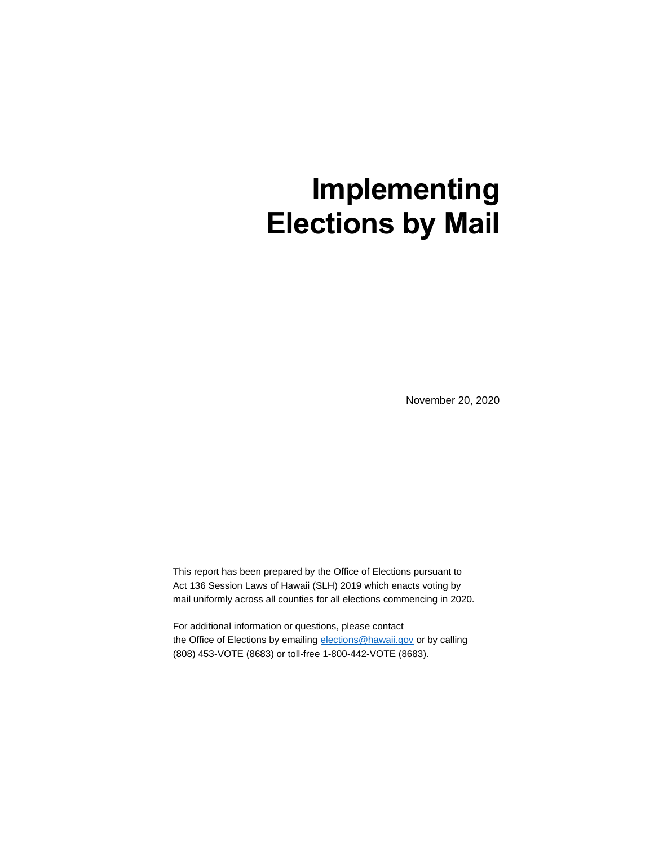# **Implementing Elections by Mail**

November 20, 2020

This report has been prepared by the Office of Elections pursuant to Act 136 Session Laws of Hawaii (SLH) 2019 which enacts voting by mail uniformly across all counties for all elections commencing in 2020.

For additional information or questions, please contact the Office of Elections by emailing [elections@hawaii.gov](mailto:elections@hawaii.gov) or by calling (808) 453-VOTE (8683) or toll-free 1-800-442-VOTE (8683).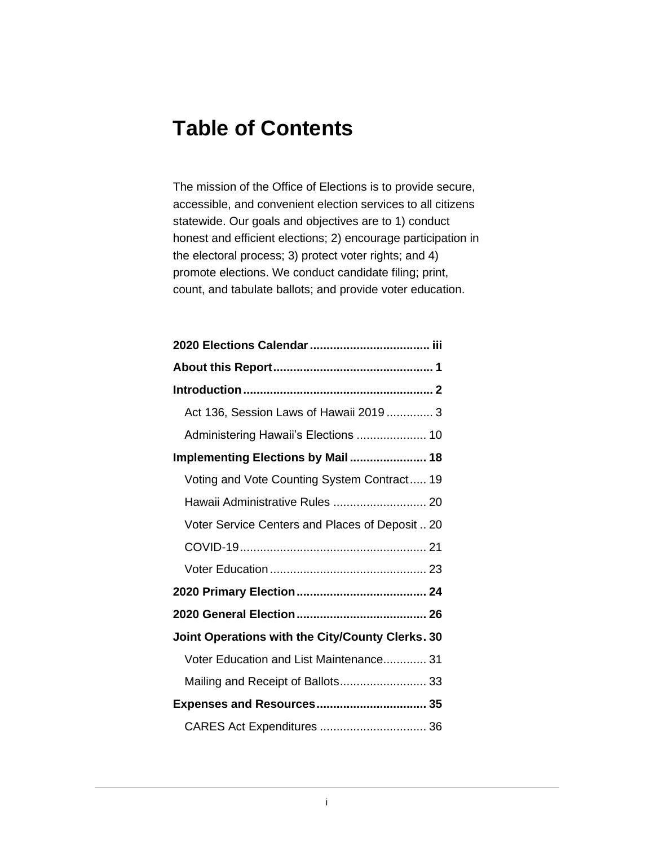# **Table of Contents**

The mission of the Office of Elections is to provide secure, accessible, and convenient election services to all citizens statewide. Our goals and objectives are to 1) conduct honest and efficient elections; 2) encourage participation in the electoral process; 3) protect voter rights; and 4) promote elections. We conduct candidate filing; print, count, and tabulate ballots; and provide voter education.

| Act 136, Session Laws of Hawaii 2019 3           |
|--------------------------------------------------|
| Administering Hawaii's Elections  10             |
| Implementing Elections by Mail 18                |
| Voting and Vote Counting System Contract 19      |
| Hawaii Administrative Rules  20                  |
| Voter Service Centers and Places of Deposit  20  |
|                                                  |
|                                                  |
|                                                  |
|                                                  |
| Joint Operations with the City/County Clerks. 30 |
| Voter Education and List Maintenance 31          |
| Mailing and Receipt of Ballots 33                |
| Expenses and Resources 35                        |
| CARES Act Expenditures  36                       |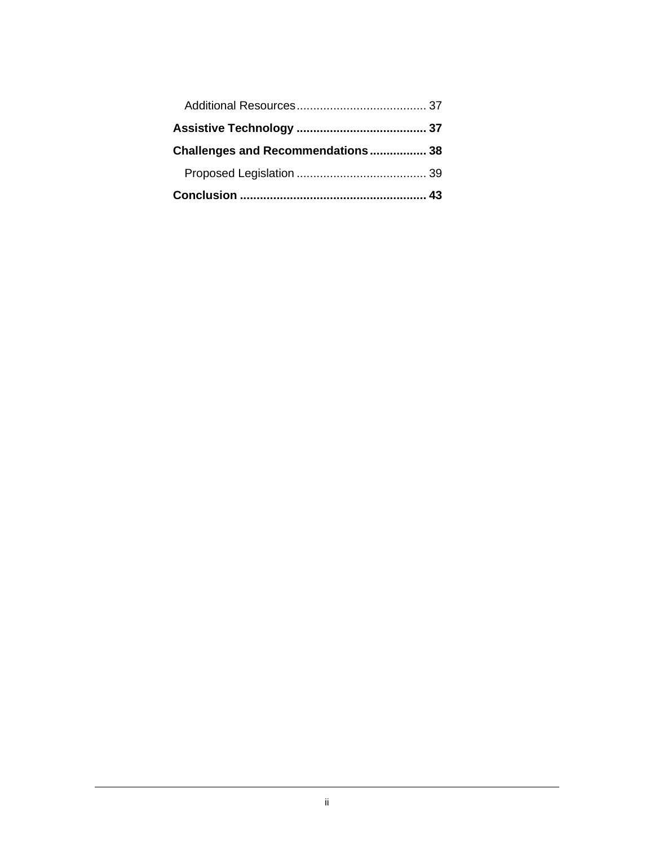| Challenges and Recommendations 38 |  |
|-----------------------------------|--|
|                                   |  |
|                                   |  |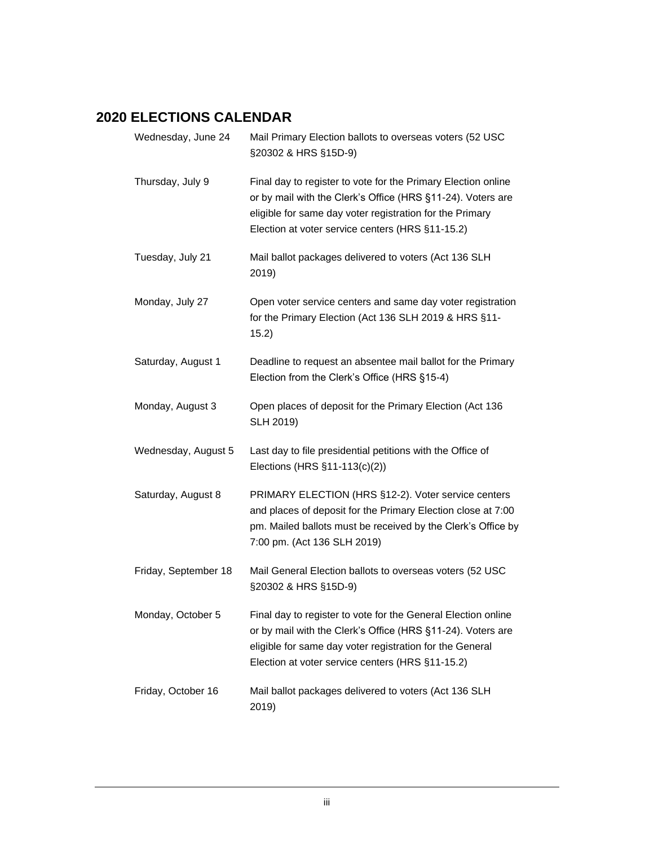# <span id="page-4-0"></span>**2020 ELECTIONS CALENDAR**

| Wednesday, June 24   | Mail Primary Election ballots to overseas voters (52 USC<br>§20302 & HRS §15D-9)                                                                                                                                                             |
|----------------------|----------------------------------------------------------------------------------------------------------------------------------------------------------------------------------------------------------------------------------------------|
| Thursday, July 9     | Final day to register to vote for the Primary Election online<br>or by mail with the Clerk's Office (HRS §11-24). Voters are<br>eligible for same day voter registration for the Primary<br>Election at voter service centers (HRS §11-15.2) |
| Tuesday, July 21     | Mail ballot packages delivered to voters (Act 136 SLH<br>2019)                                                                                                                                                                               |
| Monday, July 27      | Open voter service centers and same day voter registration<br>for the Primary Election (Act 136 SLH 2019 & HRS §11-<br>15.2)                                                                                                                 |
| Saturday, August 1   | Deadline to request an absentee mail ballot for the Primary<br>Election from the Clerk's Office (HRS §15-4)                                                                                                                                  |
| Monday, August 3     | Open places of deposit for the Primary Election (Act 136<br>SLH 2019)                                                                                                                                                                        |
| Wednesday, August 5  | Last day to file presidential petitions with the Office of<br>Elections (HRS §11-113(c)(2))                                                                                                                                                  |
| Saturday, August 8   | PRIMARY ELECTION (HRS §12-2). Voter service centers<br>and places of deposit for the Primary Election close at 7:00<br>pm. Mailed ballots must be received by the Clerk's Office by<br>7:00 pm. (Act 136 SLH 2019)                           |
| Friday, September 18 | Mail General Election ballots to overseas voters (52 USC<br>§20302 & HRS §15D-9)                                                                                                                                                             |
| Monday, October 5    | Final day to register to vote for the General Election online<br>or by mail with the Clerk's Office (HRS §11-24). Voters are<br>eligible for same day voter registration for the General<br>Election at voter service centers (HRS §11-15.2) |
| Friday, October 16   | Mail ballot packages delivered to voters (Act 136 SLH<br>2019)                                                                                                                                                                               |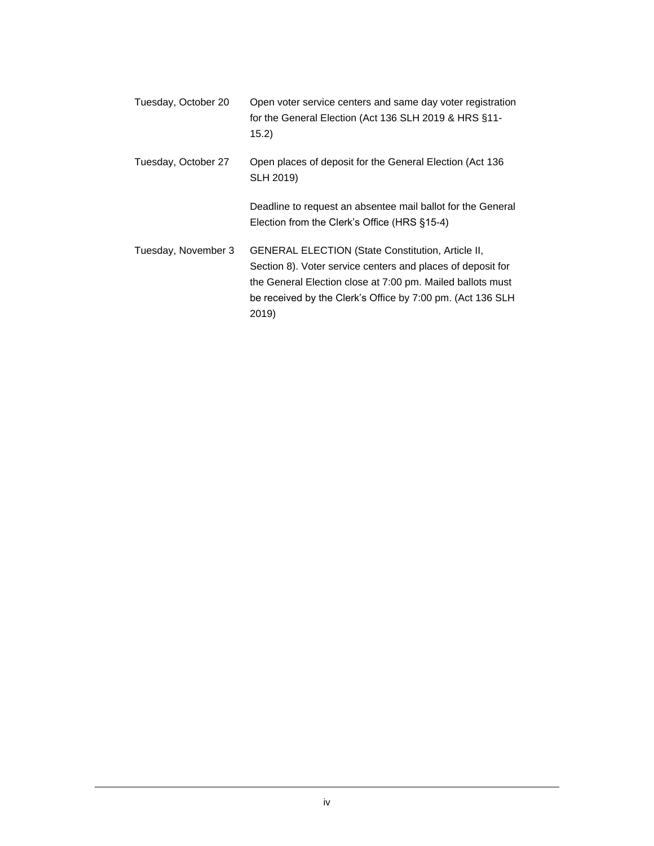| Tuesday, October 20 | Open voter service centers and same day voter registration<br>for the General Election (Act 136 SLH 2019 & HRS §11-<br>15.2)                                                                                                                                 |
|---------------------|--------------------------------------------------------------------------------------------------------------------------------------------------------------------------------------------------------------------------------------------------------------|
| Tuesday, October 27 | Open places of deposit for the General Election (Act 136<br>SLH 2019)                                                                                                                                                                                        |
|                     | Deadline to request an absentee mail ballot for the General<br>Election from the Clerk's Office (HRS §15-4)                                                                                                                                                  |
| Tuesday, November 3 | <b>GENERAL ELECTION (State Constitution, Article II,</b><br>Section 8). Voter service centers and places of deposit for<br>the General Election close at 7:00 pm. Mailed ballots must<br>be received by the Clerk's Office by 7:00 pm. (Act 136 SLH<br>2019) |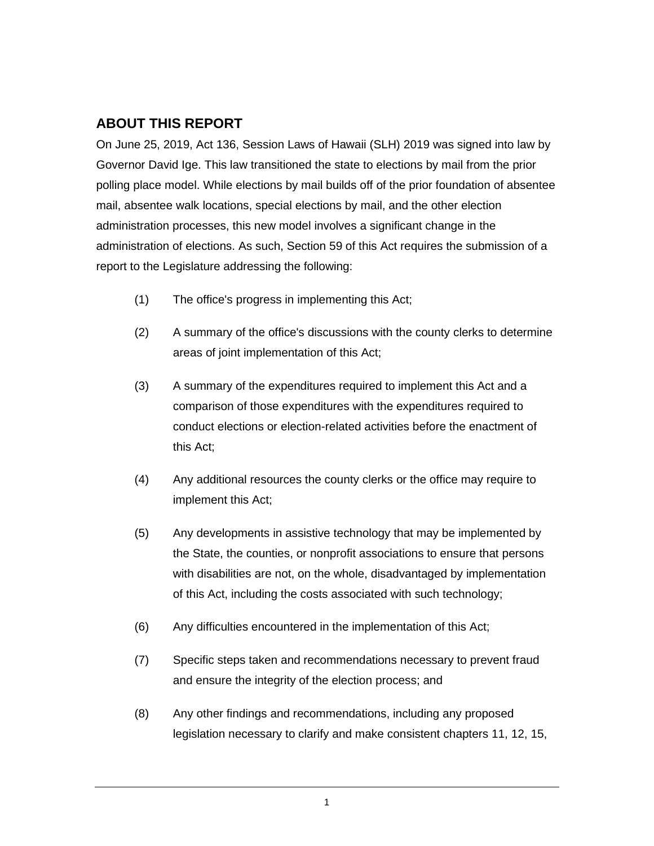# <span id="page-6-0"></span>**ABOUT THIS REPORT**

On June 25, 2019, Act 136, Session Laws of Hawaii (SLH) 2019 was signed into law by Governor David Ige. This law transitioned the state to elections by mail from the prior polling place model. While elections by mail builds off of the prior foundation of absentee mail, absentee walk locations, special elections by mail, and the other election administration processes, this new model involves a significant change in the administration of elections. As such, Section 59 of this Act requires the submission of a report to the Legislature addressing the following:

- (1) The office's progress in implementing this Act;
- (2) A summary of the office's discussions with the county clerks to determine areas of joint implementation of this Act;
- (3) A summary of the expenditures required to implement this Act and a comparison of those expenditures with the expenditures required to conduct elections or election-related activities before the enactment of this Act;
- (4) Any additional resources the county clerks or the office may require to implement this Act;
- (5) Any developments in assistive technology that may be implemented by the State, the counties, or nonprofit associations to ensure that persons with disabilities are not, on the whole, disadvantaged by implementation of this Act, including the costs associated with such technology;
- (6) Any difficulties encountered in the implementation of this Act;
- (7) Specific steps taken and recommendations necessary to prevent fraud and ensure the integrity of the election process; and
- (8) Any other findings and recommendations, including any proposed legislation necessary to clarify and make consistent chapters 11, 12, 15,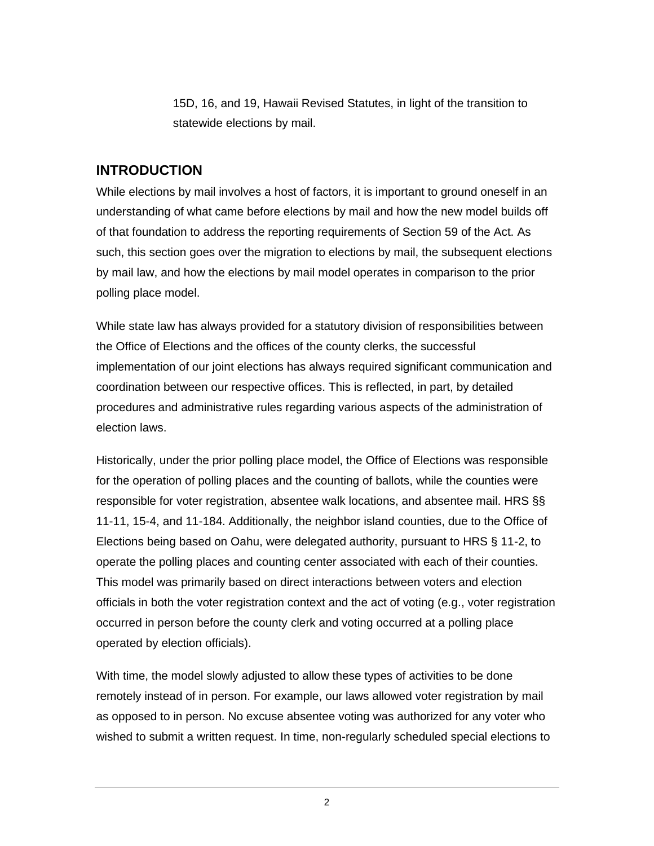15D, 16, and 19, Hawaii Revised Statutes, in light of the transition to statewide elections by mail.

# <span id="page-7-0"></span>**INTRODUCTION**

While elections by mail involves a host of factors, it is important to ground oneself in an understanding of what came before elections by mail and how the new model builds off of that foundation to address the reporting requirements of Section 59 of the Act. As such, this section goes over the migration to elections by mail, the subsequent elections by mail law, and how the elections by mail model operates in comparison to the prior polling place model.

While state law has always provided for a statutory division of responsibilities between the Office of Elections and the offices of the county clerks, the successful implementation of our joint elections has always required significant communication and coordination between our respective offices. This is reflected, in part, by detailed procedures and administrative rules regarding various aspects of the administration of election laws.

Historically, under the prior polling place model, the Office of Elections was responsible for the operation of polling places and the counting of ballots, while the counties were responsible for voter registration, absentee walk locations, and absentee mail. HRS §§ 11-11, 15-4, and 11-184. Additionally, the neighbor island counties, due to the Office of Elections being based on Oahu, were delegated authority, pursuant to HRS § 11-2, to operate the polling places and counting center associated with each of their counties. This model was primarily based on direct interactions between voters and election officials in both the voter registration context and the act of voting (e.g., voter registration occurred in person before the county clerk and voting occurred at a polling place operated by election officials).

With time, the model slowly adjusted to allow these types of activities to be done remotely instead of in person. For example, our laws allowed voter registration by mail as opposed to in person. No excuse absentee voting was authorized for any voter who wished to submit a written request. In time, non-regularly scheduled special elections to

2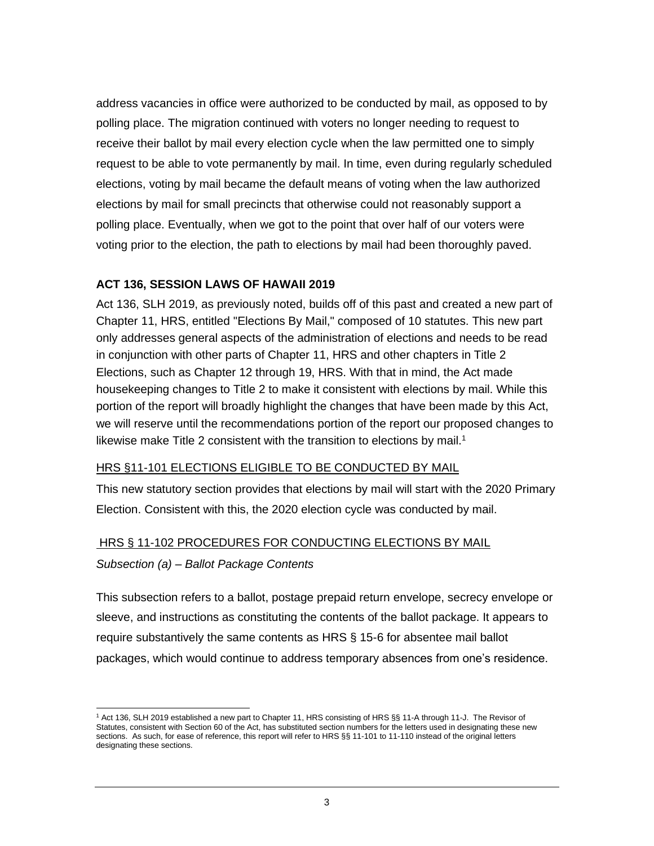address vacancies in office were authorized to be conducted by mail, as opposed to by polling place. The migration continued with voters no longer needing to request to receive their ballot by mail every election cycle when the law permitted one to simply request to be able to vote permanently by mail. In time, even during regularly scheduled elections, voting by mail became the default means of voting when the law authorized elections by mail for small precincts that otherwise could not reasonably support a polling place. Eventually, when we got to the point that over half of our voters were voting prior to the election, the path to elections by mail had been thoroughly paved.

#### <span id="page-8-0"></span>**ACT 136, SESSION LAWS OF HAWAII 2019**

Act 136, SLH 2019, as previously noted, builds off of this past and created a new part of Chapter 11, HRS, entitled "Elections By Mail," composed of 10 statutes. This new part only addresses general aspects of the administration of elections and needs to be read in conjunction with other parts of Chapter 11, HRS and other chapters in Title 2 Elections, such as Chapter 12 through 19, HRS. With that in mind, the Act made housekeeping changes to Title 2 to make it consistent with elections by mail. While this portion of the report will broadly highlight the changes that have been made by this Act, we will reserve until the recommendations portion of the report our proposed changes to likewise make Title 2 consistent with the transition to elections by mail.<sup>1</sup>

#### HRS §11-101 ELECTIONS ELIGIBLE TO BE CONDUCTED BY MAIL

This new statutory section provides that elections by mail will start with the 2020 Primary Election. Consistent with this, the 2020 election cycle was conducted by mail.

#### HRS § 11-102 PROCEDURES FOR CONDUCTING ELECTIONS BY MAIL

#### *Subsection (a) – Ballot Package Contents*

This subsection refers to a ballot, postage prepaid return envelope, secrecy envelope or sleeve, and instructions as constituting the contents of the ballot package. It appears to require substantively the same contents as HRS § 15-6 for absentee mail ballot packages, which would continue to address temporary absences from one's residence.

<sup>1</sup> Act 136, SLH 2019 established a new part to Chapter 11, HRS consisting of HRS §§ 11-A through 11-J. The Revisor of Statutes, consistent with Section 60 of the Act, has substituted section numbers for the letters used in designating these new sections. As such, for ease of reference, this report will refer to HRS §§ 11-101 to 11-110 instead of the original letters designating these sections.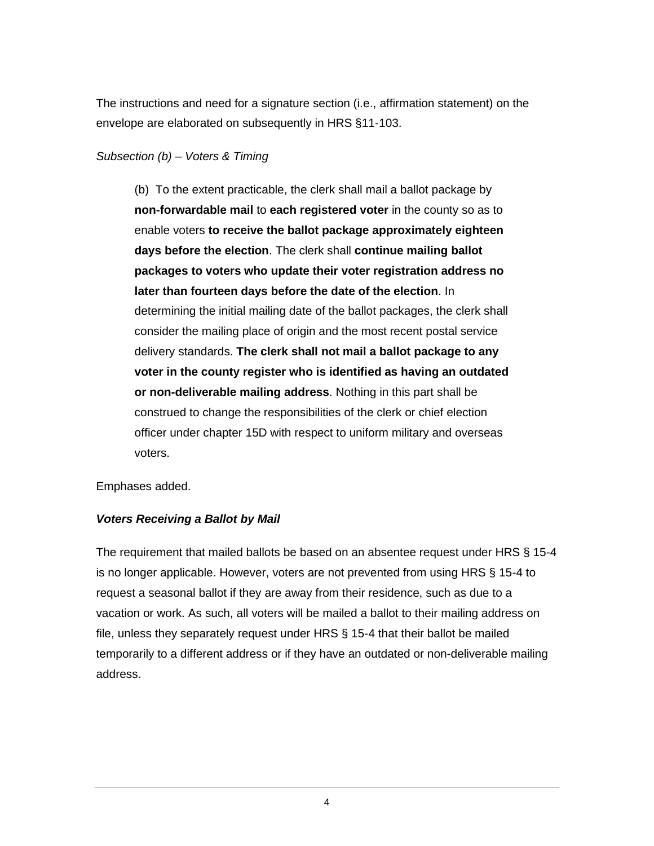The instructions and need for a signature section (i.e., affirmation statement) on the envelope are elaborated on subsequently in HRS §11-103.

#### *Subsection (b) – Voters & Timing*

(b) To the extent practicable, the clerk shall mail a ballot package by **non-forwardable mail** to **each registered voter** in the county so as to enable voters **to receive the ballot package approximately eighteen days before the election**. The clerk shall **continue mailing ballot packages to voters who update their voter registration address no later than fourteen days before the date of the election**. In determining the initial mailing date of the ballot packages, the clerk shall consider the mailing place of origin and the most recent postal service delivery standards. **The clerk shall not mail a ballot package to any voter in the county register who is identified as having an outdated or non-deliverable mailing address**. Nothing in this part shall be construed to change the responsibilities of the clerk or chief election officer under chapter 15D with respect to uniform military and overseas voters.

Emphases added.

#### *Voters Receiving a Ballot by Mail*

The requirement that mailed ballots be based on an absentee request under HRS § 15-4 is no longer applicable. However, voters are not prevented from using HRS § 15-4 to request a seasonal ballot if they are away from their residence, such as due to a vacation or work. As such, all voters will be mailed a ballot to their mailing address on file, unless they separately request under HRS § 15-4 that their ballot be mailed temporarily to a different address or if they have an outdated or non-deliverable mailing address.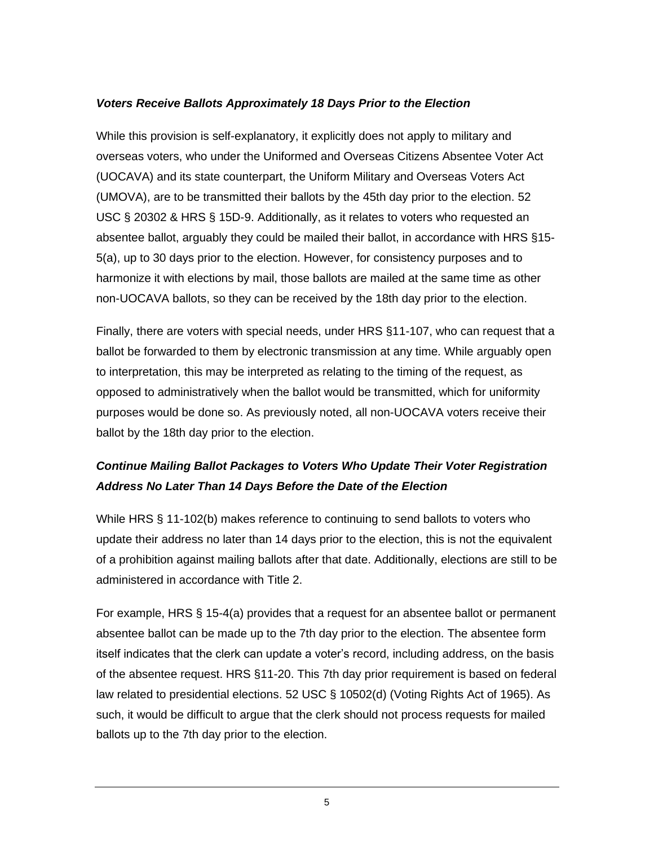#### *Voters Receive Ballots Approximately 18 Days Prior to the Election*

While this provision is self-explanatory, it explicitly does not apply to military and overseas voters, who under the Uniformed and Overseas Citizens Absentee Voter Act (UOCAVA) and its state counterpart, the Uniform Military and Overseas Voters Act (UMOVA), are to be transmitted their ballots by the 45th day prior to the election. 52 USC § 20302 & HRS § 15D-9. Additionally, as it relates to voters who requested an absentee ballot, arguably they could be mailed their ballot, in accordance with HRS §15- 5(a), up to 30 days prior to the election. However, for consistency purposes and to harmonize it with elections by mail, those ballots are mailed at the same time as other non-UOCAVA ballots, so they can be received by the 18th day prior to the election.

Finally, there are voters with special needs, under HRS §11-107, who can request that a ballot be forwarded to them by electronic transmission at any time. While arguably open to interpretation, this may be interpreted as relating to the timing of the request, as opposed to administratively when the ballot would be transmitted, which for uniformity purposes would be done so. As previously noted, all non-UOCAVA voters receive their ballot by the 18th day prior to the election.

# *Continue Mailing Ballot Packages to Voters Who Update Their Voter Registration Address No Later Than 14 Days Before the Date of the Election*

While HRS § 11-102(b) makes reference to continuing to send ballots to voters who update their address no later than 14 days prior to the election, this is not the equivalent of a prohibition against mailing ballots after that date. Additionally, elections are still to be administered in accordance with Title 2.

For example, HRS § 15-4(a) provides that a request for an absentee ballot or permanent absentee ballot can be made up to the 7th day prior to the election. The absentee form itself indicates that the clerk can update a voter's record, including address, on the basis of the absentee request. HRS §11-20. This 7th day prior requirement is based on federal law related to presidential elections. 52 USC § 10502(d) (Voting Rights Act of 1965). As such, it would be difficult to argue that the clerk should not process requests for mailed ballots up to the 7th day prior to the election.

5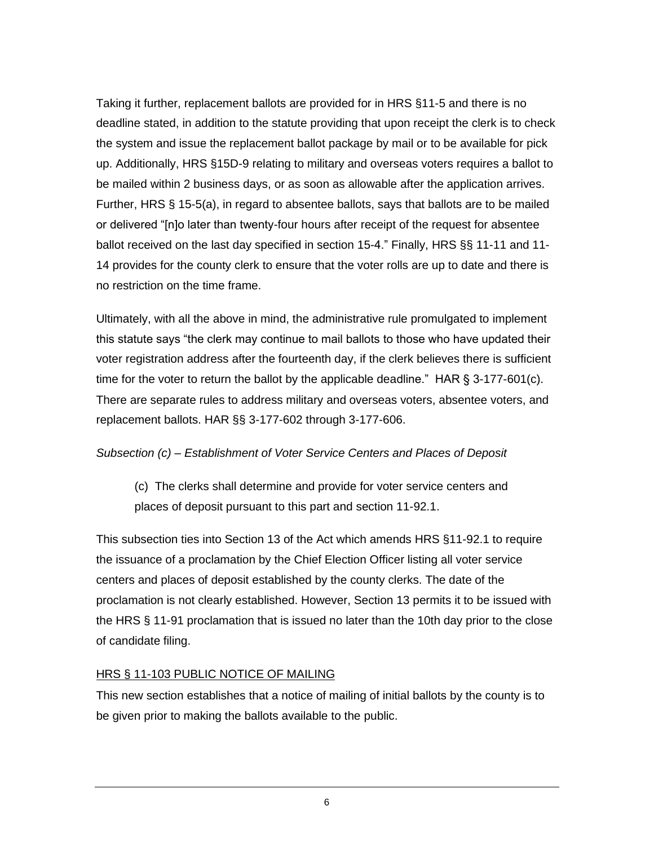Taking it further, replacement ballots are provided for in HRS §11-5 and there is no deadline stated, in addition to the statute providing that upon receipt the clerk is to check the system and issue the replacement ballot package by mail or to be available for pick up. Additionally, HRS §15D-9 relating to military and overseas voters requires a ballot to be mailed within 2 business days, or as soon as allowable after the application arrives. Further, HRS § 15-5(a), in regard to absentee ballots, says that ballots are to be mailed or delivered "[n]o later than twenty-four hours after receipt of the request for absentee ballot received on the last day specified in section 15-4." Finally, HRS §§ 11-11 and 11- 14 provides for the county clerk to ensure that the voter rolls are up to date and there is no restriction on the time frame.

Ultimately, with all the above in mind, the administrative rule promulgated to implement this statute says "the clerk may continue to mail ballots to those who have updated their voter registration address after the fourteenth day, if the clerk believes there is sufficient time for the voter to return the ballot by the applicable deadline." HAR  $\S$  3-177-601(c). There are separate rules to address military and overseas voters, absentee voters, and replacement ballots. HAR §§ 3-177-602 through 3-177-606.

#### *Subsection (c) – Establishment of Voter Service Centers and Places of Deposit*

(c) The clerks shall determine and provide for voter service centers and places of deposit pursuant to this part and section 11-92.1.

This subsection ties into Section 13 of the Act which amends HRS §11-92.1 to require the issuance of a proclamation by the Chief Election Officer listing all voter service centers and places of deposit established by the county clerks. The date of the proclamation is not clearly established. However, Section 13 permits it to be issued with the HRS § 11-91 proclamation that is issued no later than the 10th day prior to the close of candidate filing.

#### HRS § 11-103 PUBLIC NOTICE OF MAILING

This new section establishes that a notice of mailing of initial ballots by the county is to be given prior to making the ballots available to the public.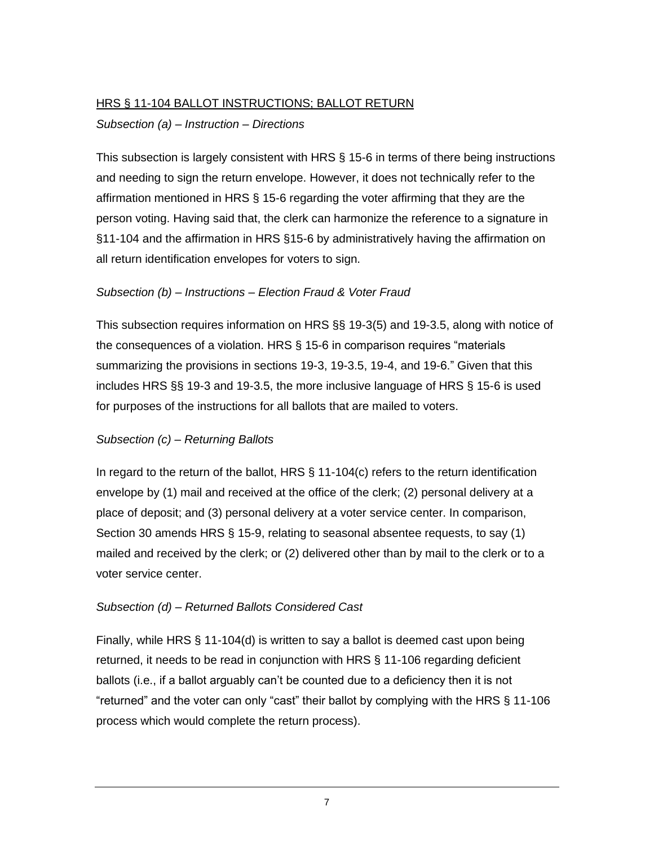#### HRS § 11-104 BALLOT INSTRUCTIONS; BALLOT RETURN

#### *Subsection (a) – Instruction – Directions*

This subsection is largely consistent with HRS § 15-6 in terms of there being instructions and needing to sign the return envelope. However, it does not technically refer to the affirmation mentioned in HRS § 15-6 regarding the voter affirming that they are the person voting. Having said that, the clerk can harmonize the reference to a signature in §11-104 and the affirmation in HRS §15-6 by administratively having the affirmation on all return identification envelopes for voters to sign.

#### *Subsection (b) – Instructions – Election Fraud & Voter Fraud*

This subsection requires information on HRS §§ 19-3(5) and 19-3.5, along with notice of the consequences of a violation. HRS § 15-6 in comparison requires "materials summarizing the provisions in sections 19-3, 19-3.5, 19-4, and 19-6." Given that this includes HRS §§ 19-3 and 19-3.5, the more inclusive language of HRS § 15-6 is used for purposes of the instructions for all ballots that are mailed to voters.

#### *Subsection (c) – Returning Ballots*

In regard to the return of the ballot, HRS § 11-104(c) refers to the return identification envelope by (1) mail and received at the office of the clerk; (2) personal delivery at a place of deposit; and (3) personal delivery at a voter service center. In comparison, Section 30 amends HRS § 15-9, relating to seasonal absentee requests, to say (1) mailed and received by the clerk; or (2) delivered other than by mail to the clerk or to a voter service center.

#### *Subsection (d) – Returned Ballots Considered Cast*

Finally, while HRS § 11-104(d) is written to say a ballot is deemed cast upon being returned, it needs to be read in conjunction with HRS § 11-106 regarding deficient ballots (i.e., if a ballot arguably can't be counted due to a deficiency then it is not "returned" and the voter can only "cast" their ballot by complying with the HRS § 11-106 process which would complete the return process).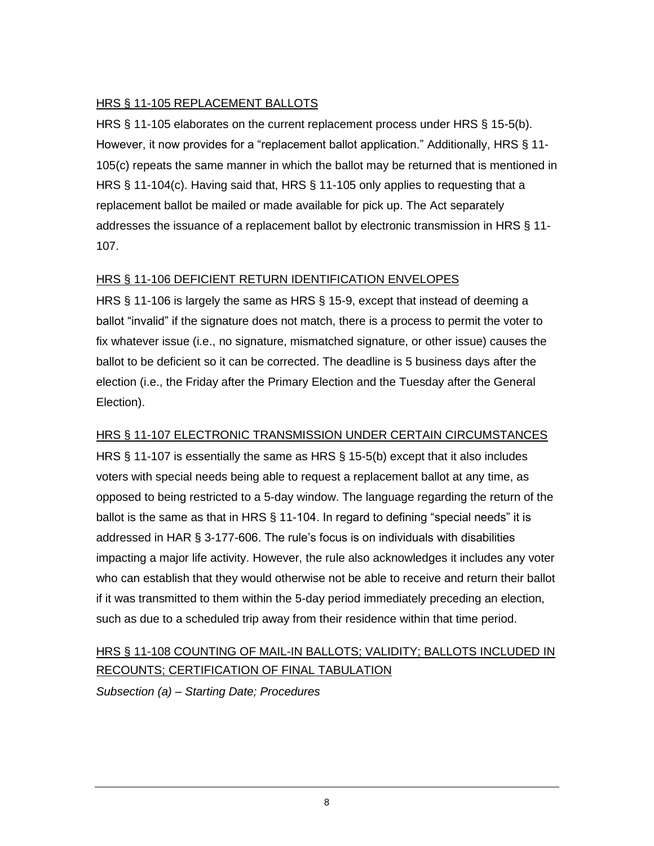#### HRS § 11-105 REPLACEMENT BALLOTS

HRS § 11-105 elaborates on the current replacement process under HRS § 15-5(b). However, it now provides for a "replacement ballot application." Additionally, HRS § 11- 105(c) repeats the same manner in which the ballot may be returned that is mentioned in HRS § 11-104(c). Having said that, HRS § 11-105 only applies to requesting that a replacement ballot be mailed or made available for pick up. The Act separately addresses the issuance of a replacement ballot by electronic transmission in HRS § 11- 107.

#### HRS § 11-106 DEFICIENT RETURN IDENTIFICATION ENVELOPES

HRS § 11-106 is largely the same as HRS § 15-9, except that instead of deeming a ballot "invalid" if the signature does not match, there is a process to permit the voter to fix whatever issue (i.e., no signature, mismatched signature, or other issue) causes the ballot to be deficient so it can be corrected. The deadline is 5 business days after the election (i.e., the Friday after the Primary Election and the Tuesday after the General Election).

## HRS § 11-107 ELECTRONIC TRANSMISSION UNDER CERTAIN CIRCUMSTANCES

HRS § 11-107 is essentially the same as HRS § 15-5(b) except that it also includes voters with special needs being able to request a replacement ballot at any time, as opposed to being restricted to a 5-day window. The language regarding the return of the ballot is the same as that in HRS § 11-104. In regard to defining "special needs" it is addressed in HAR § 3-177-606. The rule's focus is on individuals with disabilities impacting a major life activity. However, the rule also acknowledges it includes any voter who can establish that they would otherwise not be able to receive and return their ballot if it was transmitted to them within the 5-day period immediately preceding an election, such as due to a scheduled trip away from their residence within that time period.

# HRS § 11-108 COUNTING OF MAIL-IN BALLOTS; VALIDITY; BALLOTS INCLUDED IN RECOUNTS; CERTIFICATION OF FINAL TABULATION

*Subsection (a) – Starting Date; Procedures*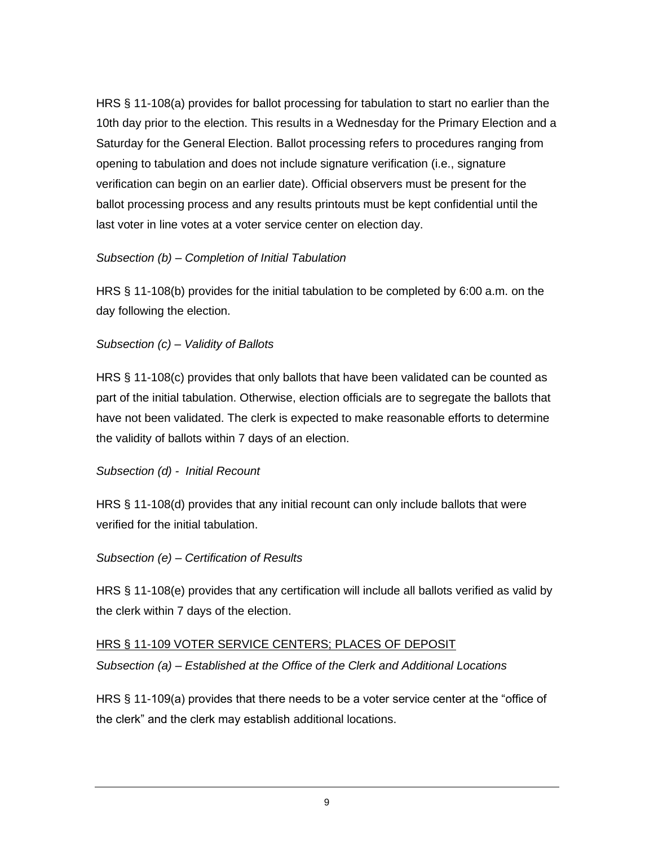HRS § 11-108(a) provides for ballot processing for tabulation to start no earlier than the 10th day prior to the election. This results in a Wednesday for the Primary Election and a Saturday for the General Election. Ballot processing refers to procedures ranging from opening to tabulation and does not include signature verification (i.e., signature verification can begin on an earlier date). Official observers must be present for the ballot processing process and any results printouts must be kept confidential until the last voter in line votes at a voter service center on election day.

#### *Subsection (b) – Completion of Initial Tabulation*

HRS § 11-108(b) provides for the initial tabulation to be completed by 6:00 a.m. on the day following the election.

#### *Subsection (c) – Validity of Ballots*

HRS § 11-108(c) provides that only ballots that have been validated can be counted as part of the initial tabulation. Otherwise, election officials are to segregate the ballots that have not been validated. The clerk is expected to make reasonable efforts to determine the validity of ballots within 7 days of an election.

#### *Subsection (d) - Initial Recount*

HRS § 11-108(d) provides that any initial recount can only include ballots that were verified for the initial tabulation.

#### *Subsection (e) – Certification of Results*

HRS § 11-108(e) provides that any certification will include all ballots verified as valid by the clerk within 7 days of the election.

#### HRS § 11-109 VOTER SERVICE CENTERS; PLACES OF DEPOSIT

*Subsection (a) – Established at the Office of the Clerk and Additional Locations*

HRS § 11-109(a) provides that there needs to be a voter service center at the "office of the clerk" and the clerk may establish additional locations.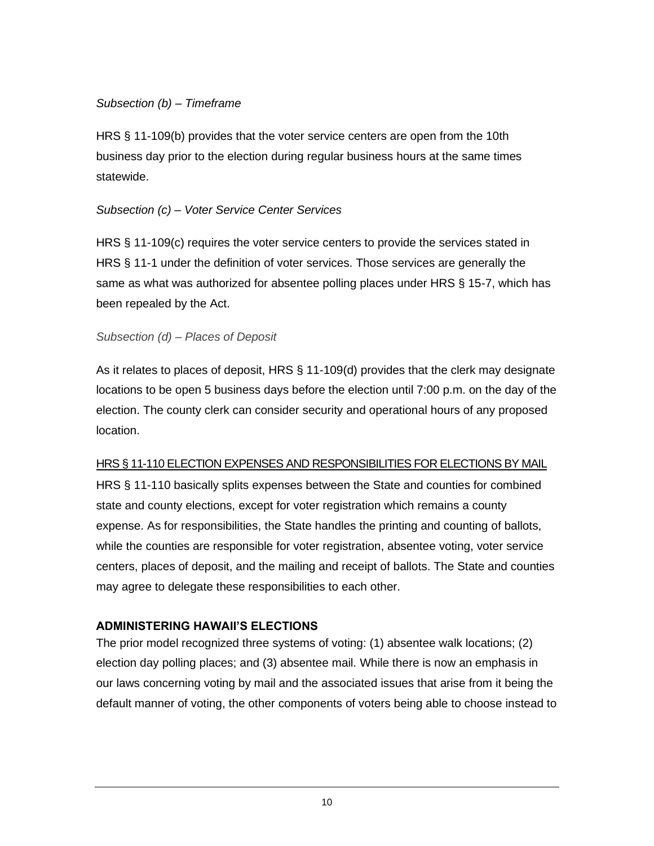#### *Subsection (b) – Timeframe*

HRS § 11-109(b) provides that the voter service centers are open from the 10th business day prior to the election during regular business hours at the same times statewide.

#### *Subsection (c) – Voter Service Center Services*

HRS § 11-109(c) requires the voter service centers to provide the services stated in HRS § 11-1 under the definition of voter services. Those services are generally the same as what was authorized for absentee polling places under HRS § 15-7, which has been repealed by the Act.

#### *Subsection (d) – Places of Deposit*

As it relates to places of deposit, HRS § 11-109(d) provides that the clerk may designate locations to be open 5 business days before the election until 7:00 p.m. on the day of the election. The county clerk can consider security and operational hours of any proposed location.

#### HRS § 11-110 ELECTION EXPENSES AND RESPONSIBILITIES FOR ELECTIONS BY MAIL

HRS § 11-110 basically splits expenses between the State and counties for combined state and county elections, except for voter registration which remains a county expense. As for responsibilities, the State handles the printing and counting of ballots, while the counties are responsible for voter registration, absentee voting, voter service centers, places of deposit, and the mailing and receipt of ballots. The State and counties may agree to delegate these responsibilities to each other.

## <span id="page-15-0"></span>**ADMINISTERING HAWAII'S ELECTIONS**

The prior model recognized three systems of voting: (1) absentee walk locations; (2) election day polling places; and (3) absentee mail. While there is now an emphasis in our laws concerning voting by mail and the associated issues that arise from it being the default manner of voting, the other components of voters being able to choose instead to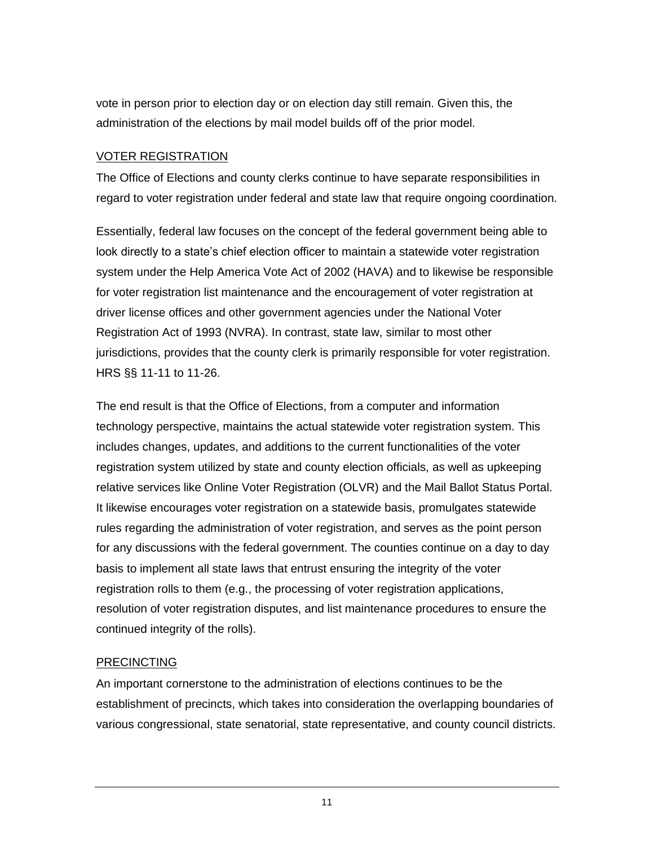vote in person prior to election day or on election day still remain. Given this, the administration of the elections by mail model builds off of the prior model.

#### VOTER REGISTRATION

The Office of Elections and county clerks continue to have separate responsibilities in regard to voter registration under federal and state law that require ongoing coordination.

Essentially, federal law focuses on the concept of the federal government being able to look directly to a state's chief election officer to maintain a statewide voter registration system under the Help America Vote Act of 2002 (HAVA) and to likewise be responsible for voter registration list maintenance and the encouragement of voter registration at driver license offices and other government agencies under the National Voter Registration Act of 1993 (NVRA). In contrast, state law, similar to most other jurisdictions, provides that the county clerk is primarily responsible for voter registration. HRS §§ 11-11 to 11-26.

The end result is that the Office of Elections, from a computer and information technology perspective, maintains the actual statewide voter registration system. This includes changes, updates, and additions to the current functionalities of the voter registration system utilized by state and county election officials, as well as upkeeping relative services like Online Voter Registration (OLVR) and the Mail Ballot Status Portal. It likewise encourages voter registration on a statewide basis, promulgates statewide rules regarding the administration of voter registration, and serves as the point person for any discussions with the federal government. The counties continue on a day to day basis to implement all state laws that entrust ensuring the integrity of the voter registration rolls to them (e.g., the processing of voter registration applications, resolution of voter registration disputes, and list maintenance procedures to ensure the continued integrity of the rolls).

#### PRECINCTING

An important cornerstone to the administration of elections continues to be the establishment of precincts, which takes into consideration the overlapping boundaries of various congressional, state senatorial, state representative, and county council districts.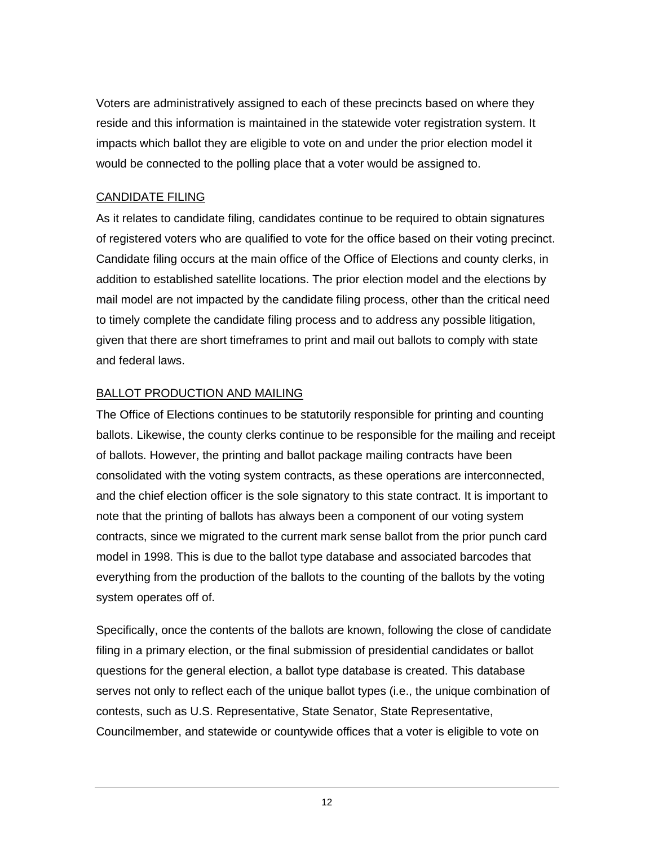Voters are administratively assigned to each of these precincts based on where they reside and this information is maintained in the statewide voter registration system. It impacts which ballot they are eligible to vote on and under the prior election model it would be connected to the polling place that a voter would be assigned to.

#### CANDIDATE FILING

As it relates to candidate filing, candidates continue to be required to obtain signatures of registered voters who are qualified to vote for the office based on their voting precinct. Candidate filing occurs at the main office of the Office of Elections and county clerks, in addition to established satellite locations. The prior election model and the elections by mail model are not impacted by the candidate filing process, other than the critical need to timely complete the candidate filing process and to address any possible litigation, given that there are short timeframes to print and mail out ballots to comply with state and federal laws.

#### BALLOT PRODUCTION AND MAILING

The Office of Elections continues to be statutorily responsible for printing and counting ballots. Likewise, the county clerks continue to be responsible for the mailing and receipt of ballots. However, the printing and ballot package mailing contracts have been consolidated with the voting system contracts, as these operations are interconnected, and the chief election officer is the sole signatory to this state contract. It is important to note that the printing of ballots has always been a component of our voting system contracts, since we migrated to the current mark sense ballot from the prior punch card model in 1998. This is due to the ballot type database and associated barcodes that everything from the production of the ballots to the counting of the ballots by the voting system operates off of.

Specifically, once the contents of the ballots are known, following the close of candidate filing in a primary election, or the final submission of presidential candidates or ballot questions for the general election, a ballot type database is created. This database serves not only to reflect each of the unique ballot types (i.e., the unique combination of contests, such as U.S. Representative, State Senator, State Representative, Councilmember, and statewide or countywide offices that a voter is eligible to vote on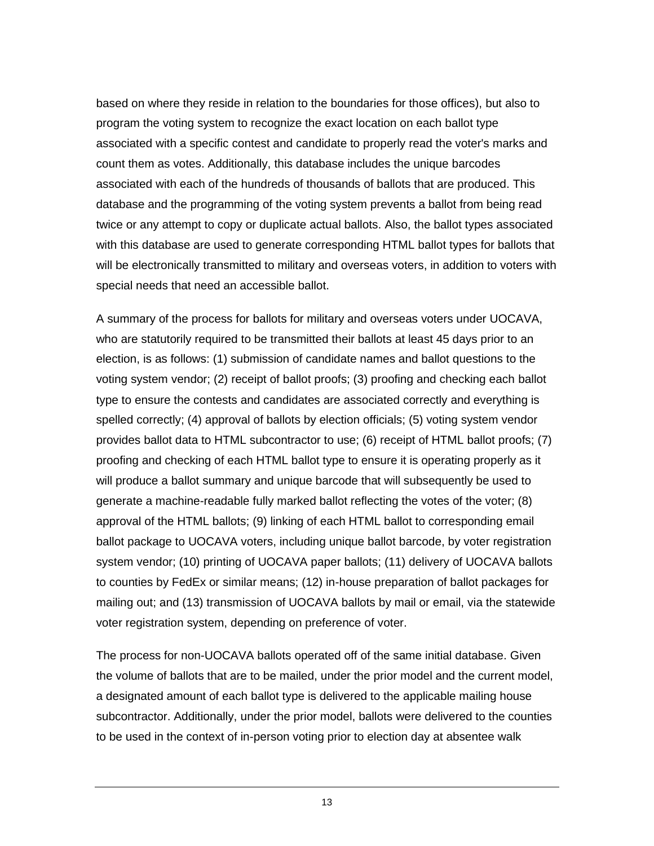based on where they reside in relation to the boundaries for those offices), but also to program the voting system to recognize the exact location on each ballot type associated with a specific contest and candidate to properly read the voter's marks and count them as votes. Additionally, this database includes the unique barcodes associated with each of the hundreds of thousands of ballots that are produced. This database and the programming of the voting system prevents a ballot from being read twice or any attempt to copy or duplicate actual ballots. Also, the ballot types associated with this database are used to generate corresponding HTML ballot types for ballots that will be electronically transmitted to military and overseas voters, in addition to voters with special needs that need an accessible ballot.

A summary of the process for ballots for military and overseas voters under UOCAVA, who are statutorily required to be transmitted their ballots at least 45 days prior to an election, is as follows: (1) submission of candidate names and ballot questions to the voting system vendor; (2) receipt of ballot proofs; (3) proofing and checking each ballot type to ensure the contests and candidates are associated correctly and everything is spelled correctly; (4) approval of ballots by election officials; (5) voting system vendor provides ballot data to HTML subcontractor to use; (6) receipt of HTML ballot proofs; (7) proofing and checking of each HTML ballot type to ensure it is operating properly as it will produce a ballot summary and unique barcode that will subsequently be used to generate a machine-readable fully marked ballot reflecting the votes of the voter; (8) approval of the HTML ballots; (9) linking of each HTML ballot to corresponding email ballot package to UOCAVA voters, including unique ballot barcode, by voter registration system vendor; (10) printing of UOCAVA paper ballots; (11) delivery of UOCAVA ballots to counties by FedEx or similar means; (12) in-house preparation of ballot packages for mailing out; and (13) transmission of UOCAVA ballots by mail or email, via the statewide voter registration system, depending on preference of voter.

The process for non-UOCAVA ballots operated off of the same initial database. Given the volume of ballots that are to be mailed, under the prior model and the current model, a designated amount of each ballot type is delivered to the applicable mailing house subcontractor. Additionally, under the prior model, ballots were delivered to the counties to be used in the context of in-person voting prior to election day at absentee walk

13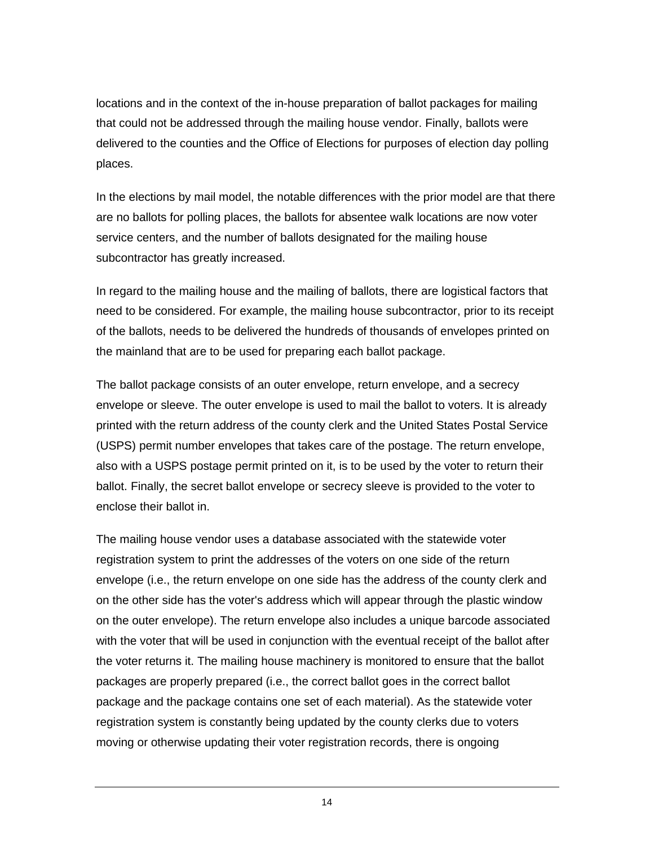locations and in the context of the in-house preparation of ballot packages for mailing that could not be addressed through the mailing house vendor. Finally, ballots were delivered to the counties and the Office of Elections for purposes of election day polling places.

In the elections by mail model, the notable differences with the prior model are that there are no ballots for polling places, the ballots for absentee walk locations are now voter service centers, and the number of ballots designated for the mailing house subcontractor has greatly increased.

In regard to the mailing house and the mailing of ballots, there are logistical factors that need to be considered. For example, the mailing house subcontractor, prior to its receipt of the ballots, needs to be delivered the hundreds of thousands of envelopes printed on the mainland that are to be used for preparing each ballot package.

The ballot package consists of an outer envelope, return envelope, and a secrecy envelope or sleeve. The outer envelope is used to mail the ballot to voters. It is already printed with the return address of the county clerk and the United States Postal Service (USPS) permit number envelopes that takes care of the postage. The return envelope, also with a USPS postage permit printed on it, is to be used by the voter to return their ballot. Finally, the secret ballot envelope or secrecy sleeve is provided to the voter to enclose their ballot in.

The mailing house vendor uses a database associated with the statewide voter registration system to print the addresses of the voters on one side of the return envelope (i.e., the return envelope on one side has the address of the county clerk and on the other side has the voter's address which will appear through the plastic window on the outer envelope). The return envelope also includes a unique barcode associated with the voter that will be used in conjunction with the eventual receipt of the ballot after the voter returns it. The mailing house machinery is monitored to ensure that the ballot packages are properly prepared (i.e., the correct ballot goes in the correct ballot package and the package contains one set of each material). As the statewide voter registration system is constantly being updated by the county clerks due to voters moving or otherwise updating their voter registration records, there is ongoing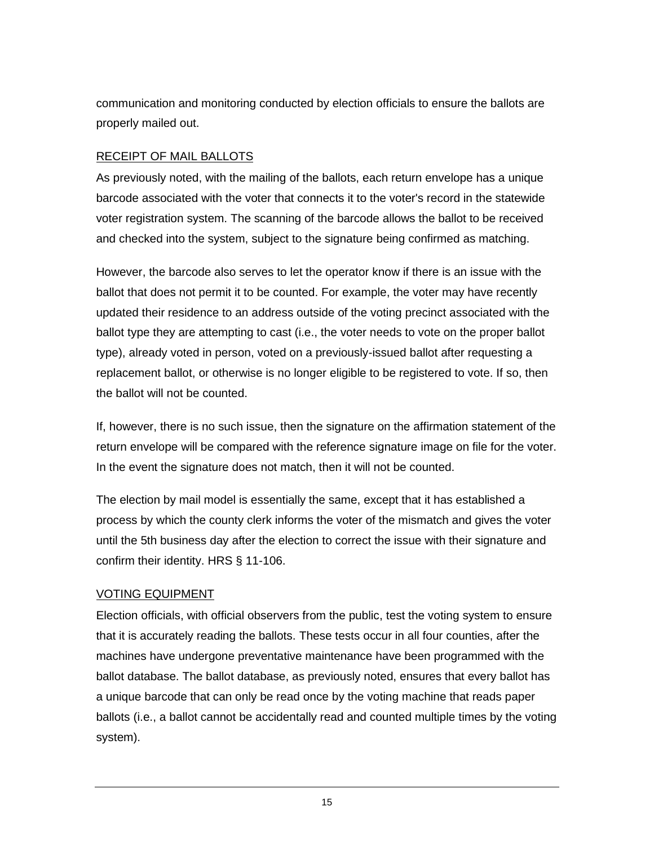communication and monitoring conducted by election officials to ensure the ballots are properly mailed out.

#### RECEIPT OF MAIL BALLOTS

As previously noted, with the mailing of the ballots, each return envelope has a unique barcode associated with the voter that connects it to the voter's record in the statewide voter registration system. The scanning of the barcode allows the ballot to be received and checked into the system, subject to the signature being confirmed as matching.

However, the barcode also serves to let the operator know if there is an issue with the ballot that does not permit it to be counted. For example, the voter may have recently updated their residence to an address outside of the voting precinct associated with the ballot type they are attempting to cast (i.e., the voter needs to vote on the proper ballot type), already voted in person, voted on a previously-issued ballot after requesting a replacement ballot, or otherwise is no longer eligible to be registered to vote. If so, then the ballot will not be counted.

If, however, there is no such issue, then the signature on the affirmation statement of the return envelope will be compared with the reference signature image on file for the voter. In the event the signature does not match, then it will not be counted.

The election by mail model is essentially the same, except that it has established a process by which the county clerk informs the voter of the mismatch and gives the voter until the 5th business day after the election to correct the issue with their signature and confirm their identity. HRS § 11-106.

#### VOTING EQUIPMENT

Election officials, with official observers from the public, test the voting system to ensure that it is accurately reading the ballots. These tests occur in all four counties, after the machines have undergone preventative maintenance have been programmed with the ballot database. The ballot database, as previously noted, ensures that every ballot has a unique barcode that can only be read once by the voting machine that reads paper ballots (i.e., a ballot cannot be accidentally read and counted multiple times by the voting system).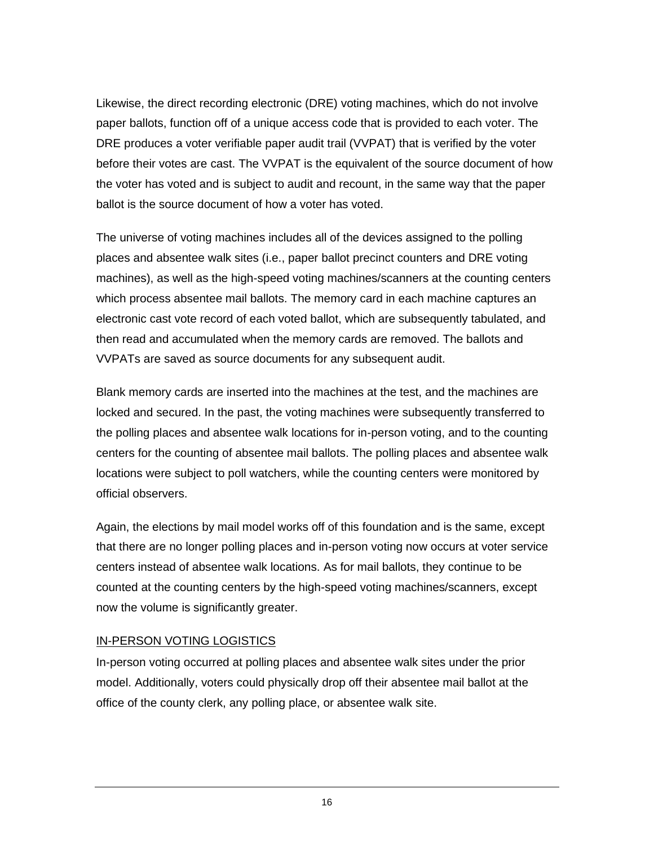Likewise, the direct recording electronic (DRE) voting machines, which do not involve paper ballots, function off of a unique access code that is provided to each voter. The DRE produces a voter verifiable paper audit trail (VVPAT) that is verified by the voter before their votes are cast. The VVPAT is the equivalent of the source document of how the voter has voted and is subject to audit and recount, in the same way that the paper ballot is the source document of how a voter has voted.

The universe of voting machines includes all of the devices assigned to the polling places and absentee walk sites (i.e., paper ballot precinct counters and DRE voting machines), as well as the high-speed voting machines/scanners at the counting centers which process absentee mail ballots. The memory card in each machine captures an electronic cast vote record of each voted ballot, which are subsequently tabulated, and then read and accumulated when the memory cards are removed. The ballots and VVPATs are saved as source documents for any subsequent audit.

Blank memory cards are inserted into the machines at the test, and the machines are locked and secured. In the past, the voting machines were subsequently transferred to the polling places and absentee walk locations for in-person voting, and to the counting centers for the counting of absentee mail ballots. The polling places and absentee walk locations were subject to poll watchers, while the counting centers were monitored by official observers.

Again, the elections by mail model works off of this foundation and is the same, except that there are no longer polling places and in-person voting now occurs at voter service centers instead of absentee walk locations. As for mail ballots, they continue to be counted at the counting centers by the high-speed voting machines/scanners, except now the volume is significantly greater.

#### IN-PERSON VOTING LOGISTICS

In-person voting occurred at polling places and absentee walk sites under the prior model. Additionally, voters could physically drop off their absentee mail ballot at the office of the county clerk, any polling place, or absentee walk site.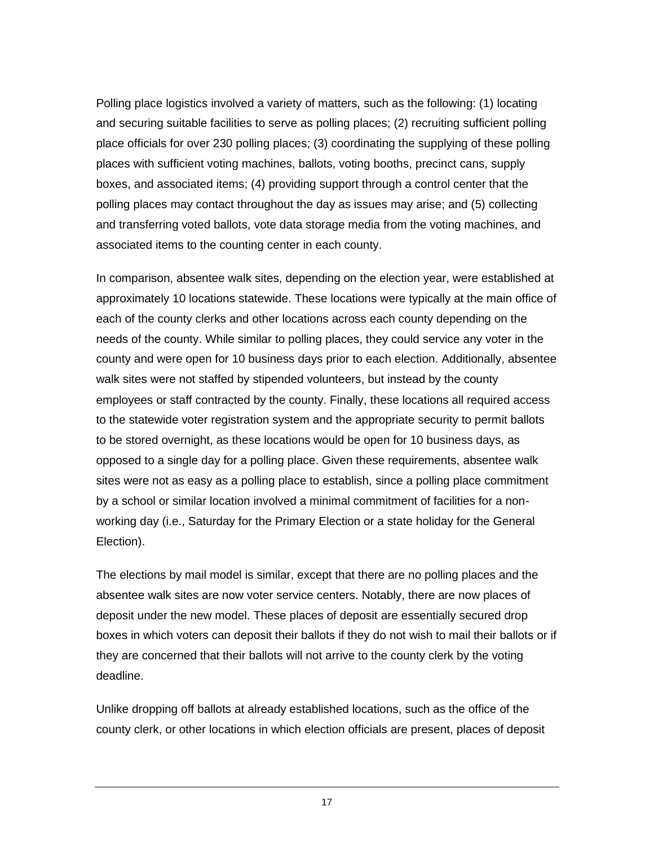Polling place logistics involved a variety of matters, such as the following: (1) locating and securing suitable facilities to serve as polling places; (2) recruiting sufficient polling place officials for over 230 polling places; (3) coordinating the supplying of these polling places with sufficient voting machines, ballots, voting booths, precinct cans, supply boxes, and associated items; (4) providing support through a control center that the polling places may contact throughout the day as issues may arise; and (5) collecting and transferring voted ballots, vote data storage media from the voting machines, and associated items to the counting center in each county.

In comparison, absentee walk sites, depending on the election year, were established at approximately 10 locations statewide. These locations were typically at the main office of each of the county clerks and other locations across each county depending on the needs of the county. While similar to polling places, they could service any voter in the county and were open for 10 business days prior to each election. Additionally, absentee walk sites were not staffed by stipended volunteers, but instead by the county employees or staff contracted by the county. Finally, these locations all required access to the statewide voter registration system and the appropriate security to permit ballots to be stored overnight, as these locations would be open for 10 business days, as opposed to a single day for a polling place. Given these requirements, absentee walk sites were not as easy as a polling place to establish, since a polling place commitment by a school or similar location involved a minimal commitment of facilities for a nonworking day (i.e., Saturday for the Primary Election or a state holiday for the General Election).

The elections by mail model is similar, except that there are no polling places and the absentee walk sites are now voter service centers. Notably, there are now places of deposit under the new model. These places of deposit are essentially secured drop boxes in which voters can deposit their ballots if they do not wish to mail their ballots or if they are concerned that their ballots will not arrive to the county clerk by the voting deadline.

Unlike dropping off ballots at already established locations, such as the office of the county clerk, or other locations in which election officials are present, places of deposit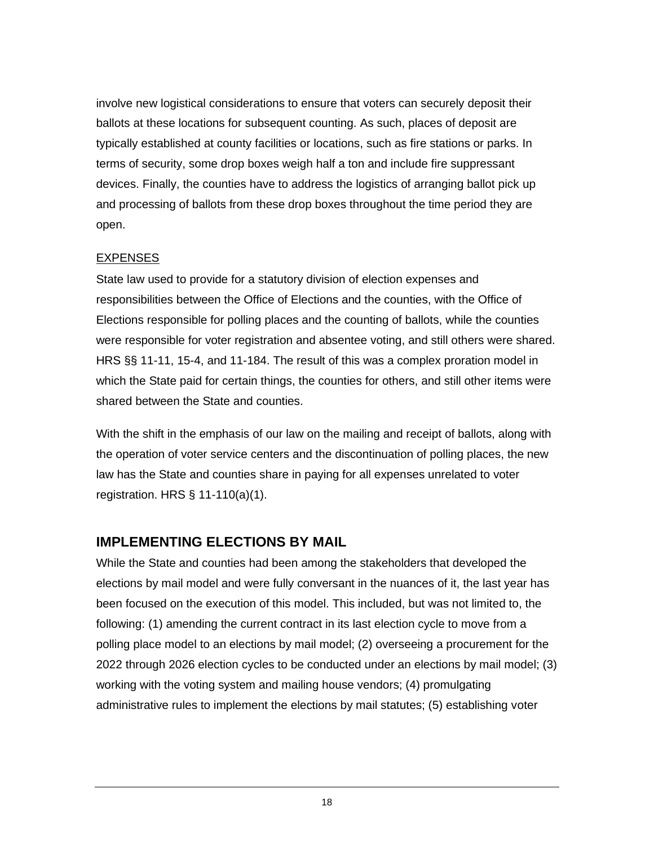involve new logistical considerations to ensure that voters can securely deposit their ballots at these locations for subsequent counting. As such, places of deposit are typically established at county facilities or locations, such as fire stations or parks. In terms of security, some drop boxes weigh half a ton and include fire suppressant devices. Finally, the counties have to address the logistics of arranging ballot pick up and processing of ballots from these drop boxes throughout the time period they are open.

#### EXPENSES

State law used to provide for a statutory division of election expenses and responsibilities between the Office of Elections and the counties, with the Office of Elections responsible for polling places and the counting of ballots, while the counties were responsible for voter registration and absentee voting, and still others were shared. HRS §§ 11-11, 15-4, and 11-184. The result of this was a complex proration model in which the State paid for certain things, the counties for others, and still other items were shared between the State and counties.

With the shift in the emphasis of our law on the mailing and receipt of ballots, along with the operation of voter service centers and the discontinuation of polling places, the new law has the State and counties share in paying for all expenses unrelated to voter registration. HRS § 11-110(a)(1).

# <span id="page-23-0"></span>**IMPLEMENTING ELECTIONS BY MAIL**

While the State and counties had been among the stakeholders that developed the elections by mail model and were fully conversant in the nuances of it, the last year has been focused on the execution of this model. This included, but was not limited to, the following: (1) amending the current contract in its last election cycle to move from a polling place model to an elections by mail model; (2) overseeing a procurement for the 2022 through 2026 election cycles to be conducted under an elections by mail model; (3) working with the voting system and mailing house vendors; (4) promulgating administrative rules to implement the elections by mail statutes; (5) establishing voter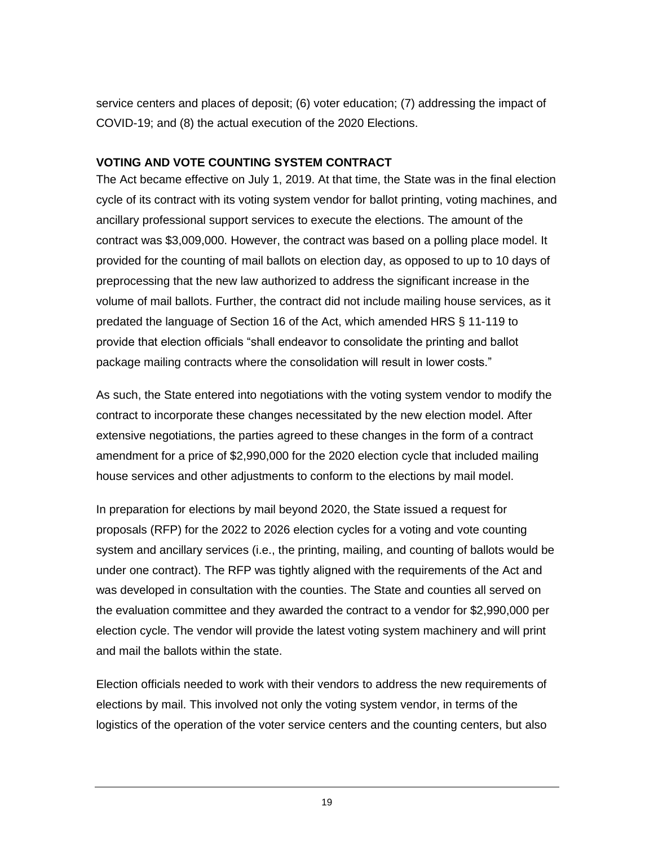service centers and places of deposit; (6) voter education; (7) addressing the impact of COVID-19; and (8) the actual execution of the 2020 Elections.

#### <span id="page-24-0"></span>**VOTING AND VOTE COUNTING SYSTEM CONTRACT**

The Act became effective on July 1, 2019. At that time, the State was in the final election cycle of its contract with its voting system vendor for ballot printing, voting machines, and ancillary professional support services to execute the elections. The amount of the contract was \$3,009,000. However, the contract was based on a polling place model. It provided for the counting of mail ballots on election day, as opposed to up to 10 days of preprocessing that the new law authorized to address the significant increase in the volume of mail ballots. Further, the contract did not include mailing house services, as it predated the language of Section 16 of the Act, which amended HRS § 11-119 to provide that election officials "shall endeavor to consolidate the printing and ballot package mailing contracts where the consolidation will result in lower costs."

As such, the State entered into negotiations with the voting system vendor to modify the contract to incorporate these changes necessitated by the new election model. After extensive negotiations, the parties agreed to these changes in the form of a contract amendment for a price of \$2,990,000 for the 2020 election cycle that included mailing house services and other adjustments to conform to the elections by mail model.

In preparation for elections by mail beyond 2020, the State issued a request for proposals (RFP) for the 2022 to 2026 election cycles for a voting and vote counting system and ancillary services (i.e., the printing, mailing, and counting of ballots would be under one contract). The RFP was tightly aligned with the requirements of the Act and was developed in consultation with the counties. The State and counties all served on the evaluation committee and they awarded the contract to a vendor for \$2,990,000 per election cycle. The vendor will provide the latest voting system machinery and will print and mail the ballots within the state.

Election officials needed to work with their vendors to address the new requirements of elections by mail. This involved not only the voting system vendor, in terms of the logistics of the operation of the voter service centers and the counting centers, but also

19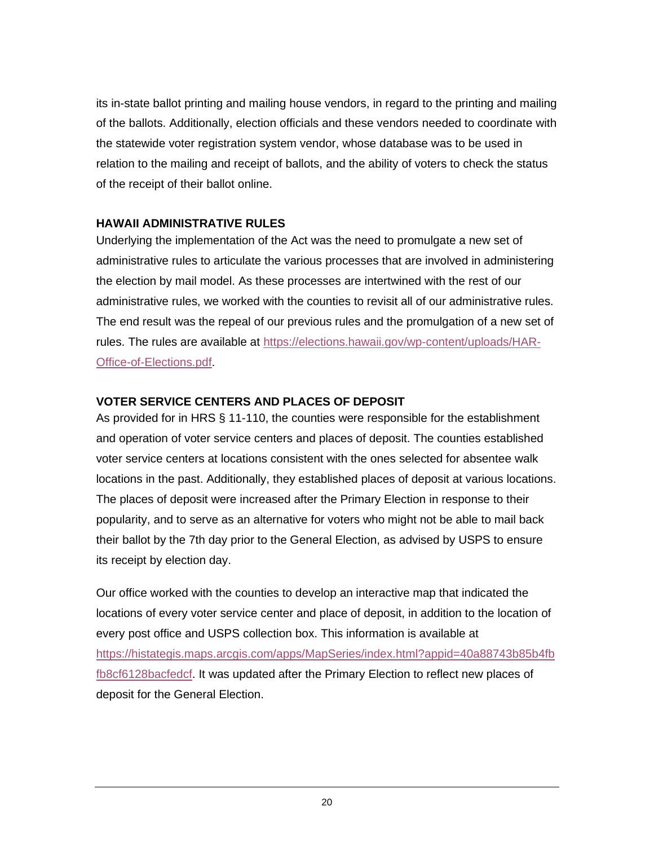its in-state ballot printing and mailing house vendors, in regard to the printing and mailing of the ballots. Additionally, election officials and these vendors needed to coordinate with the statewide voter registration system vendor, whose database was to be used in relation to the mailing and receipt of ballots, and the ability of voters to check the status of the receipt of their ballot online.

#### <span id="page-25-0"></span>**HAWAII ADMINISTRATIVE RULES**

Underlying the implementation of the Act was the need to promulgate a new set of administrative rules to articulate the various processes that are involved in administering the election by mail model. As these processes are intertwined with the rest of our administrative rules, we worked with the counties to revisit all of our administrative rules. The end result was the repeal of our previous rules and the promulgation of a new set of rules. The rules are available at [https://elections.hawaii.gov/wp-content/uploads/HAR-](https://elections.hawaii.gov/wp-content/uploads/HAR-Office-of-Elections.pdf)[Office-of-Elections.pdf.](https://elections.hawaii.gov/wp-content/uploads/HAR-Office-of-Elections.pdf)

#### <span id="page-25-1"></span>**VOTER SERVICE CENTERS AND PLACES OF DEPOSIT**

As provided for in HRS § 11-110, the counties were responsible for the establishment and operation of voter service centers and places of deposit. The counties established voter service centers at locations consistent with the ones selected for absentee walk locations in the past. Additionally, they established places of deposit at various locations. The places of deposit were increased after the Primary Election in response to their popularity, and to serve as an alternative for voters who might not be able to mail back their ballot by the 7th day prior to the General Election, as advised by USPS to ensure its receipt by election day.

Our office worked with the counties to develop an interactive map that indicated the locations of every voter service center and place of deposit, in addition to the location of every post office and USPS collection box. This information is available at [https://histategis.maps.arcgis.com/apps/MapSeries/index.html?appid=40a88743b85b4fb](https://histategis.maps.arcgis.com/apps/MapSeries/index.html?appid=40a88743b85b4fbfb8cf6128bacfedcf) [fb8cf6128bacfedcf.](https://histategis.maps.arcgis.com/apps/MapSeries/index.html?appid=40a88743b85b4fbfb8cf6128bacfedcf) It was updated after the Primary Election to reflect new places of deposit for the General Election.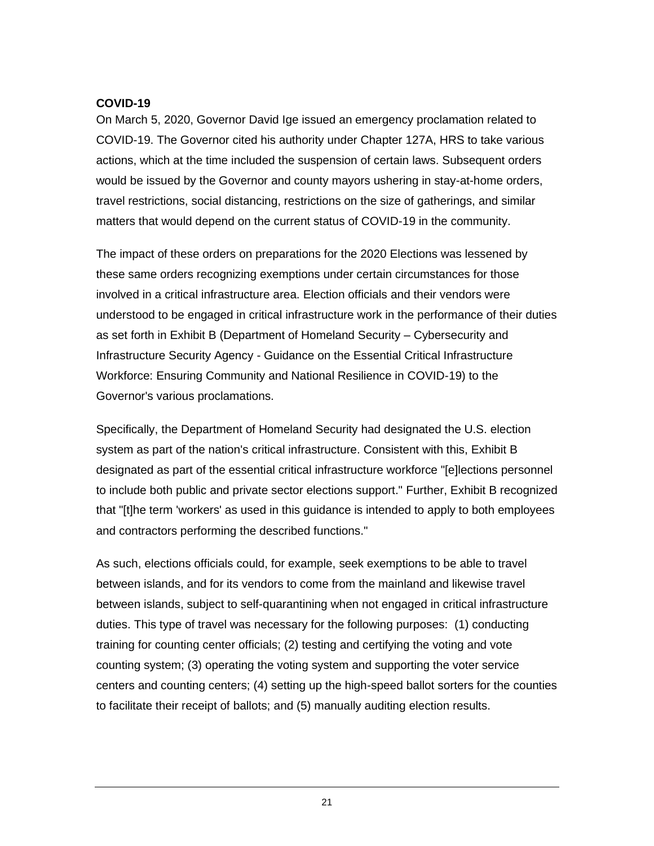#### <span id="page-26-0"></span>**COVID-19**

On March 5, 2020, Governor David Ige issued an emergency proclamation related to COVID-19. The Governor cited his authority under Chapter 127A, HRS to take various actions, which at the time included the suspension of certain laws. Subsequent orders would be issued by the Governor and county mayors ushering in stay-at-home orders, travel restrictions, social distancing, restrictions on the size of gatherings, and similar matters that would depend on the current status of COVID-19 in the community.

The impact of these orders on preparations for the 2020 Elections was lessened by these same orders recognizing exemptions under certain circumstances for those involved in a critical infrastructure area. Election officials and their vendors were understood to be engaged in critical infrastructure work in the performance of their duties as set forth in Exhibit B (Department of Homeland Security – Cybersecurity and Infrastructure Security Agency - Guidance on the Essential Critical Infrastructure Workforce: Ensuring Community and National Resilience in COVID-19) to the Governor's various proclamations.

Specifically, the Department of Homeland Security had designated the U.S. election system as part of the nation's critical infrastructure. Consistent with this, Exhibit B designated as part of the essential critical infrastructure workforce "[e]lections personnel to include both public and private sector elections support." Further, Exhibit B recognized that "[t]he term 'workers' as used in this guidance is intended to apply to both employees and contractors performing the described functions."

As such, elections officials could, for example, seek exemptions to be able to travel between islands, and for its vendors to come from the mainland and likewise travel between islands, subject to self-quarantining when not engaged in critical infrastructure duties. This type of travel was necessary for the following purposes: (1) conducting training for counting center officials; (2) testing and certifying the voting and vote counting system; (3) operating the voting system and supporting the voter service centers and counting centers; (4) setting up the high-speed ballot sorters for the counties to facilitate their receipt of ballots; and (5) manually auditing election results.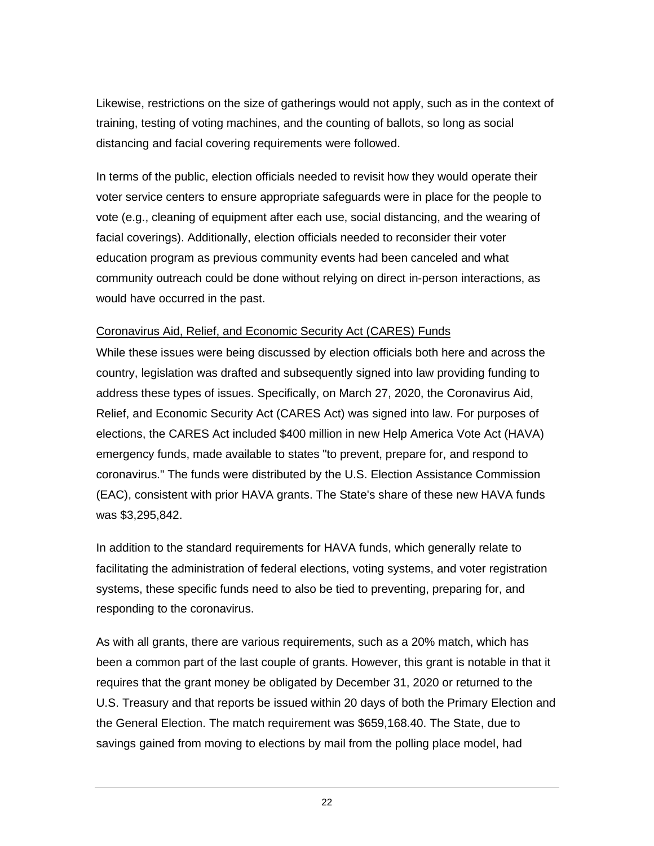Likewise, restrictions on the size of gatherings would not apply, such as in the context of training, testing of voting machines, and the counting of ballots, so long as social distancing and facial covering requirements were followed.

In terms of the public, election officials needed to revisit how they would operate their voter service centers to ensure appropriate safeguards were in place for the people to vote (e.g., cleaning of equipment after each use, social distancing, and the wearing of facial coverings). Additionally, election officials needed to reconsider their voter education program as previous community events had been canceled and what community outreach could be done without relying on direct in-person interactions, as would have occurred in the past.

#### Coronavirus Aid, Relief, and Economic Security Act (CARES) Funds

While these issues were being discussed by election officials both here and across the country, legislation was drafted and subsequently signed into law providing funding to address these types of issues. Specifically, on March 27, 2020, the Coronavirus Aid, Relief, and Economic Security Act (CARES Act) was signed into law. For purposes of elections, the CARES Act included \$400 million in new Help America Vote Act (HAVA) emergency funds, made available to states "to prevent, prepare for, and respond to coronavirus." The funds were distributed by the U.S. Election Assistance Commission (EAC), consistent with prior HAVA grants. The State's share of these new HAVA funds was \$3,295,842.

In addition to the standard requirements for HAVA funds, which generally relate to facilitating the administration of federal elections, voting systems, and voter registration systems, these specific funds need to also be tied to preventing, preparing for, and responding to the coronavirus.

As with all grants, there are various requirements, such as a 20% match, which has been a common part of the last couple of grants. However, this grant is notable in that it requires that the grant money be obligated by December 31, 2020 or returned to the U.S. Treasury and that reports be issued within 20 days of both the Primary Election and the General Election. The match requirement was \$659,168.40. The State, due to savings gained from moving to elections by mail from the polling place model, had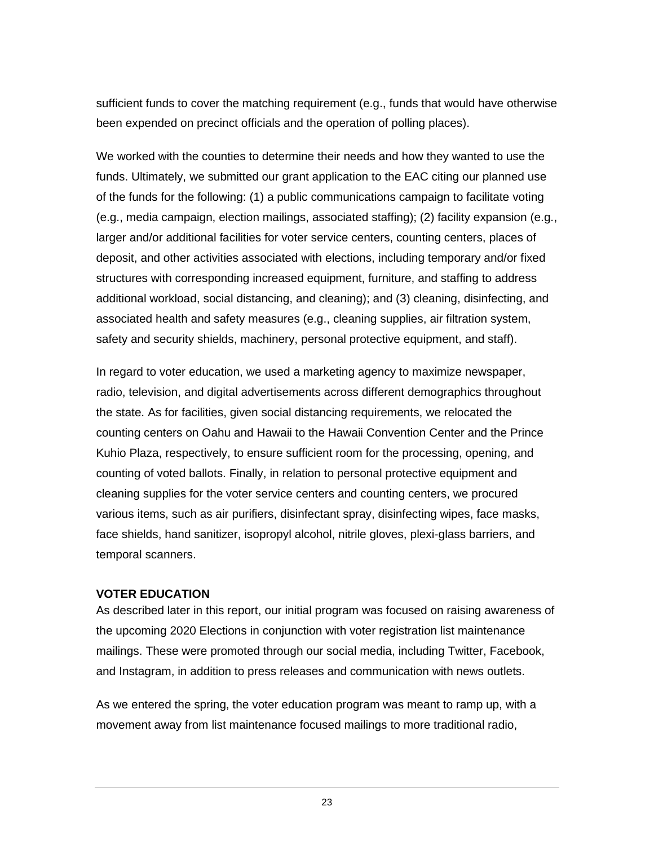sufficient funds to cover the matching requirement (e.g., funds that would have otherwise been expended on precinct officials and the operation of polling places).

We worked with the counties to determine their needs and how they wanted to use the funds. Ultimately, we submitted our grant application to the EAC citing our planned use of the funds for the following: (1) a public communications campaign to facilitate voting (e.g., media campaign, election mailings, associated staffing); (2) facility expansion (e.g., larger and/or additional facilities for voter service centers, counting centers, places of deposit, and other activities associated with elections, including temporary and/or fixed structures with corresponding increased equipment, furniture, and staffing to address additional workload, social distancing, and cleaning); and (3) cleaning, disinfecting, and associated health and safety measures (e.g., cleaning supplies, air filtration system, safety and security shields, machinery, personal protective equipment, and staff).

In regard to voter education, we used a marketing agency to maximize newspaper, radio, television, and digital advertisements across different demographics throughout the state. As for facilities, given social distancing requirements, we relocated the counting centers on Oahu and Hawaii to the Hawaii Convention Center and the Prince Kuhio Plaza, respectively, to ensure sufficient room for the processing, opening, and counting of voted ballots. Finally, in relation to personal protective equipment and cleaning supplies for the voter service centers and counting centers, we procured various items, such as air purifiers, disinfectant spray, disinfecting wipes, face masks, face shields, hand sanitizer, isopropyl alcohol, nitrile gloves, plexi-glass barriers, and temporal scanners.

#### <span id="page-28-0"></span>**VOTER EDUCATION**

As described later in this report, our initial program was focused on raising awareness of the upcoming 2020 Elections in conjunction with voter registration list maintenance mailings. These were promoted through our social media, including Twitter, Facebook, and Instagram, in addition to press releases and communication with news outlets.

As we entered the spring, the voter education program was meant to ramp up, with a movement away from list maintenance focused mailings to more traditional radio,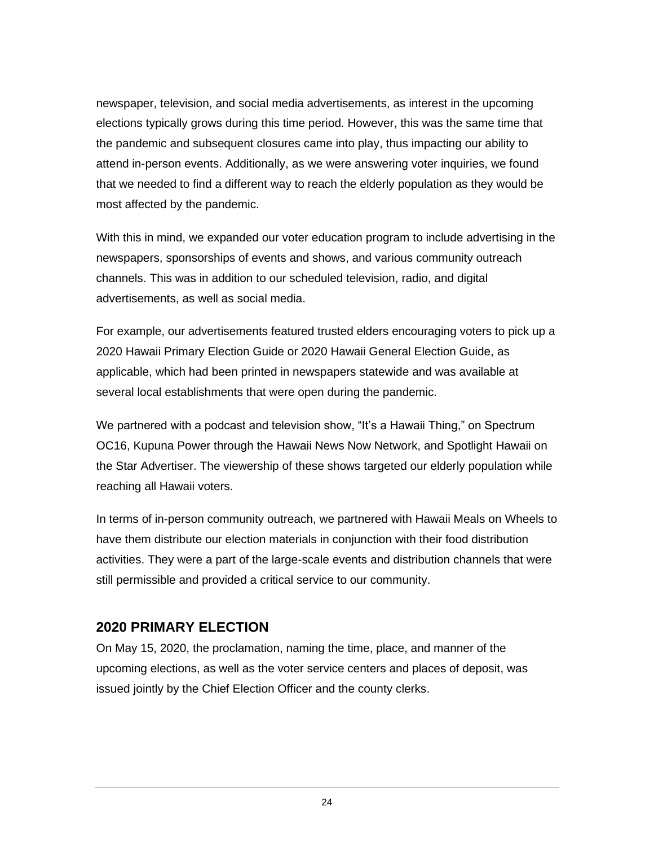newspaper, television, and social media advertisements, as interest in the upcoming elections typically grows during this time period. However, this was the same time that the pandemic and subsequent closures came into play, thus impacting our ability to attend in-person events. Additionally, as we were answering voter inquiries, we found that we needed to find a different way to reach the elderly population as they would be most affected by the pandemic.

With this in mind, we expanded our voter education program to include advertising in the newspapers, sponsorships of events and shows, and various community outreach channels. This was in addition to our scheduled television, radio, and digital advertisements, as well as social media.

For example, our advertisements featured trusted elders encouraging voters to pick up a 2020 Hawaii Primary Election Guide or 2020 Hawaii General Election Guide, as applicable, which had been printed in newspapers statewide and was available at several local establishments that were open during the pandemic.

We partnered with a podcast and television show, "It's a Hawaii Thing," on Spectrum OC16, Kupuna Power through the Hawaii News Now Network, and Spotlight Hawaii on the Star Advertiser. The viewership of these shows targeted our elderly population while reaching all Hawaii voters.

In terms of in-person community outreach, we partnered with Hawaii Meals on Wheels to have them distribute our election materials in conjunction with their food distribution activities. They were a part of the large-scale events and distribution channels that were still permissible and provided a critical service to our community.

# <span id="page-29-0"></span>**2020 PRIMARY ELECTION**

On May 15, 2020, the proclamation, naming the time, place, and manner of the upcoming elections, as well as the voter service centers and places of deposit, was issued jointly by the Chief Election Officer and the county clerks.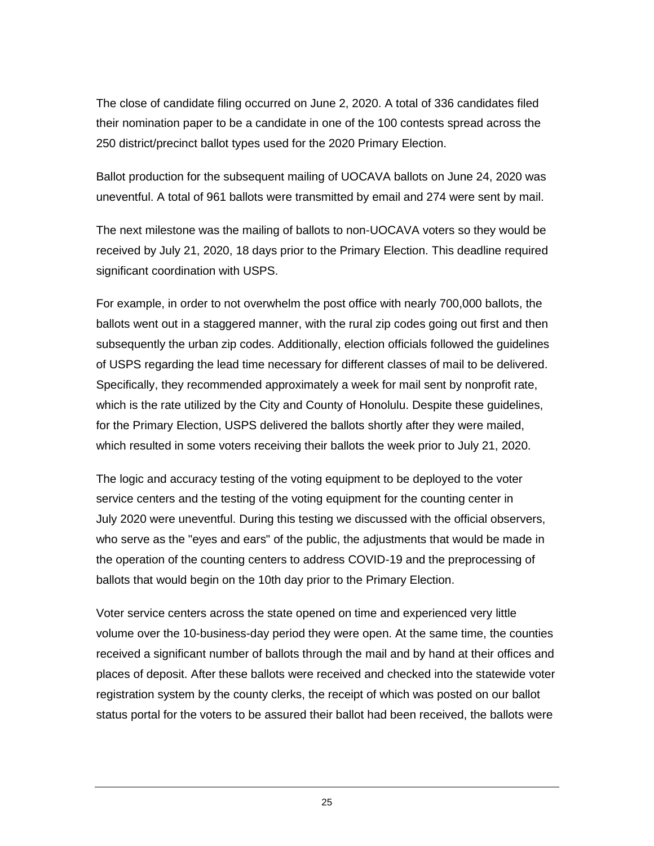The close of candidate filing occurred on June 2, 2020. A total of 336 candidates filed their nomination paper to be a candidate in one of the 100 contests spread across the 250 district/precinct ballot types used for the 2020 Primary Election.

Ballot production for the subsequent mailing of UOCAVA ballots on June 24, 2020 was uneventful. A total of 961 ballots were transmitted by email and 274 were sent by mail.

The next milestone was the mailing of ballots to non-UOCAVA voters so they would be received by July 21, 2020, 18 days prior to the Primary Election. This deadline required significant coordination with USPS.

For example, in order to not overwhelm the post office with nearly 700,000 ballots, the ballots went out in a staggered manner, with the rural zip codes going out first and then subsequently the urban zip codes. Additionally, election officials followed the guidelines of USPS regarding the lead time necessary for different classes of mail to be delivered. Specifically, they recommended approximately a week for mail sent by nonprofit rate, which is the rate utilized by the City and County of Honolulu. Despite these guidelines, for the Primary Election, USPS delivered the ballots shortly after they were mailed, which resulted in some voters receiving their ballots the week prior to July 21, 2020.

The logic and accuracy testing of the voting equipment to be deployed to the voter service centers and the testing of the voting equipment for the counting center in July 2020 were uneventful. During this testing we discussed with the official observers, who serve as the "eyes and ears" of the public, the adjustments that would be made in the operation of the counting centers to address COVID-19 and the preprocessing of ballots that would begin on the 10th day prior to the Primary Election.

Voter service centers across the state opened on time and experienced very little volume over the 10-business-day period they were open. At the same time, the counties received a significant number of ballots through the mail and by hand at their offices and places of deposit. After these ballots were received and checked into the statewide voter registration system by the county clerks, the receipt of which was posted on our ballot status portal for the voters to be assured their ballot had been received, the ballots were

25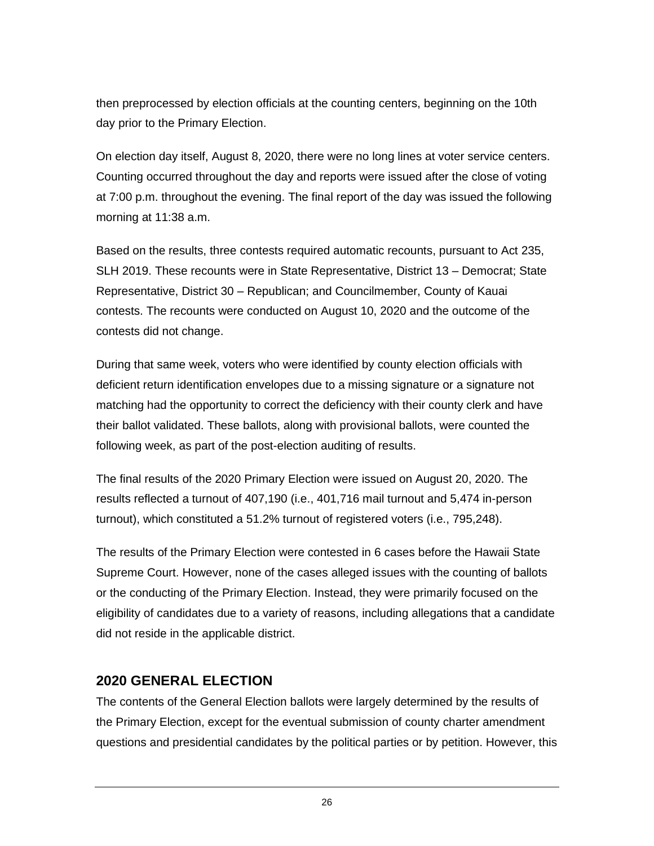then preprocessed by election officials at the counting centers, beginning on the 10th day prior to the Primary Election.

On election day itself, August 8, 2020, there were no long lines at voter service centers. Counting occurred throughout the day and reports were issued after the close of voting at 7:00 p.m. throughout the evening. The final report of the day was issued the following morning at 11:38 a.m.

Based on the results, three contests required automatic recounts, pursuant to Act 235, SLH 2019. These recounts were in State Representative, District 13 – Democrat; State Representative, District 30 – Republican; and Councilmember, County of Kauai contests. The recounts were conducted on August 10, 2020 and the outcome of the contests did not change.

During that same week, voters who were identified by county election officials with deficient return identification envelopes due to a missing signature or a signature not matching had the opportunity to correct the deficiency with their county clerk and have their ballot validated. These ballots, along with provisional ballots, were counted the following week, as part of the post-election auditing of results.

The final results of the 2020 Primary Election were issued on August 20, 2020. The results reflected a turnout of 407,190 (i.e., 401,716 mail turnout and 5,474 in-person turnout), which constituted a 51.2% turnout of registered voters (i.e., 795,248).

The results of the Primary Election were contested in 6 cases before the Hawaii State Supreme Court. However, none of the cases alleged issues with the counting of ballots or the conducting of the Primary Election. Instead, they were primarily focused on the eligibility of candidates due to a variety of reasons, including allegations that a candidate did not reside in the applicable district.

# <span id="page-31-0"></span>**2020 GENERAL ELECTION**

The contents of the General Election ballots were largely determined by the results of the Primary Election, except for the eventual submission of county charter amendment questions and presidential candidates by the political parties or by petition. However, this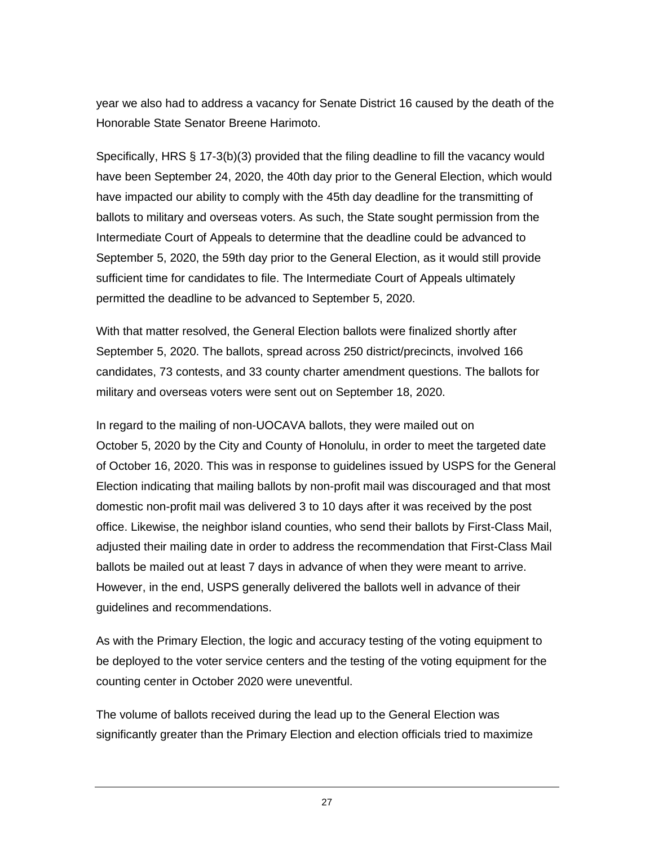year we also had to address a vacancy for Senate District 16 caused by the death of the Honorable State Senator Breene Harimoto.

Specifically, HRS § 17-3(b)(3) provided that the filing deadline to fill the vacancy would have been September 24, 2020, the 40th day prior to the General Election, which would have impacted our ability to comply with the 45th day deadline for the transmitting of ballots to military and overseas voters. As such, the State sought permission from the Intermediate Court of Appeals to determine that the deadline could be advanced to September 5, 2020, the 59th day prior to the General Election, as it would still provide sufficient time for candidates to file. The Intermediate Court of Appeals ultimately permitted the deadline to be advanced to September 5, 2020.

With that matter resolved, the General Election ballots were finalized shortly after September 5, 2020. The ballots, spread across 250 district/precincts, involved 166 candidates, 73 contests, and 33 county charter amendment questions. The ballots for military and overseas voters were sent out on September 18, 2020.

In regard to the mailing of non-UOCAVA ballots, they were mailed out on October 5, 2020 by the City and County of Honolulu, in order to meet the targeted date of October 16, 2020. This was in response to guidelines issued by USPS for the General Election indicating that mailing ballots by non-profit mail was discouraged and that most domestic non-profit mail was delivered 3 to 10 days after it was received by the post office. Likewise, the neighbor island counties, who send their ballots by First-Class Mail, adjusted their mailing date in order to address the recommendation that First-Class Mail ballots be mailed out at least 7 days in advance of when they were meant to arrive. However, in the end, USPS generally delivered the ballots well in advance of their guidelines and recommendations.

As with the Primary Election, the logic and accuracy testing of the voting equipment to be deployed to the voter service centers and the testing of the voting equipment for the counting center in October 2020 were uneventful.

The volume of ballots received during the lead up to the General Election was significantly greater than the Primary Election and election officials tried to maximize

27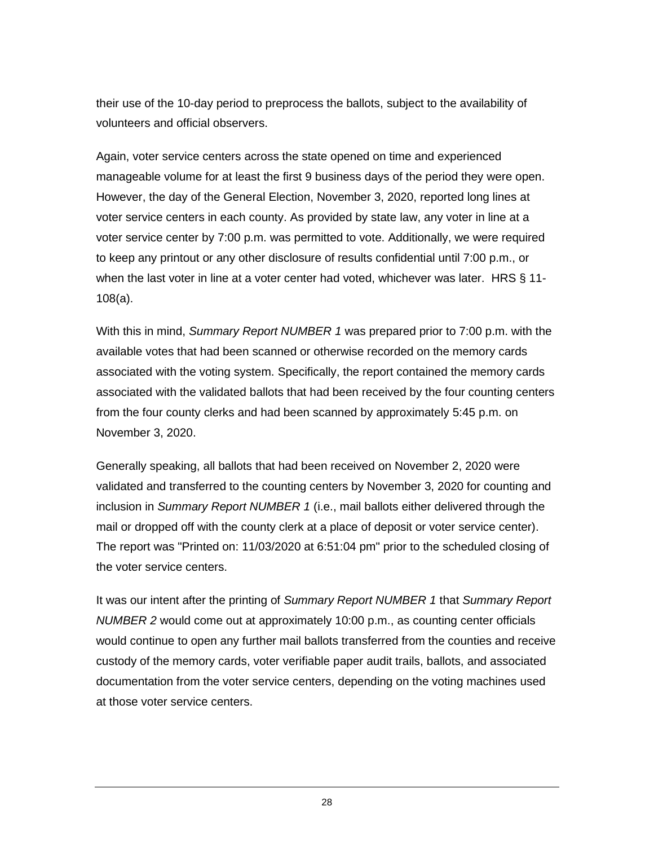their use of the 10-day period to preprocess the ballots, subject to the availability of volunteers and official observers.

Again, voter service centers across the state opened on time and experienced manageable volume for at least the first 9 business days of the period they were open. However, the day of the General Election, November 3, 2020, reported long lines at voter service centers in each county. As provided by state law, any voter in line at a voter service center by 7:00 p.m. was permitted to vote. Additionally, we were required to keep any printout or any other disclosure of results confidential until 7:00 p.m., or when the last voter in line at a voter center had voted, whichever was later. HRS § 11- 108(a).

With this in mind, *Summary Report NUMBER 1* was prepared prior to 7:00 p.m. with the available votes that had been scanned or otherwise recorded on the memory cards associated with the voting system. Specifically, the report contained the memory cards associated with the validated ballots that had been received by the four counting centers from the four county clerks and had been scanned by approximately 5:45 p.m. on November 3, 2020.

Generally speaking, all ballots that had been received on November 2, 2020 were validated and transferred to the counting centers by November 3, 2020 for counting and inclusion in *Summary Report NUMBER 1* (i.e., mail ballots either delivered through the mail or dropped off with the county clerk at a place of deposit or voter service center). The report was "Printed on: 11/03/2020 at 6:51:04 pm" prior to the scheduled closing of the voter service centers.

It was our intent after the printing of *Summary Report NUMBER 1* that *Summary Report NUMBER 2* would come out at approximately 10:00 p.m., as counting center officials would continue to open any further mail ballots transferred from the counties and receive custody of the memory cards, voter verifiable paper audit trails, ballots, and associated documentation from the voter service centers, depending on the voting machines used at those voter service centers.

28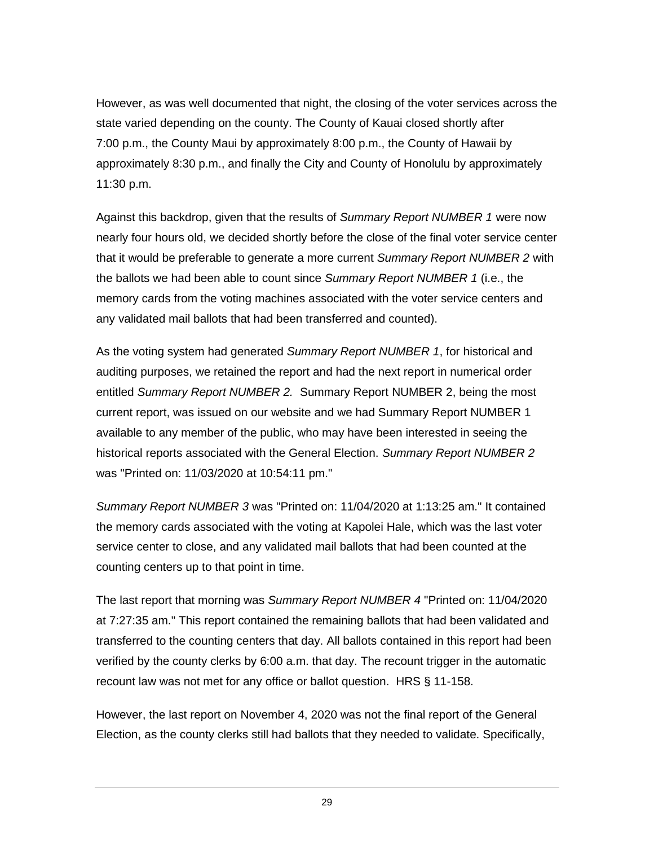However, as was well documented that night, the closing of the voter services across the state varied depending on the county. The County of Kauai closed shortly after 7:00 p.m., the County Maui by approximately 8:00 p.m., the County of Hawaii by approximately 8:30 p.m., and finally the City and County of Honolulu by approximately 11:30 p.m.

Against this backdrop, given that the results of *Summary Report NUMBER 1* were now nearly four hours old, we decided shortly before the close of the final voter service center that it would be preferable to generate a more current *Summary Report NUMBER 2* with the ballots we had been able to count since *Summary Report NUMBER 1* (i.e., the memory cards from the voting machines associated with the voter service centers and any validated mail ballots that had been transferred and counted).

As the voting system had generated *Summary Report NUMBER 1*, for historical and auditing purposes, we retained the report and had the next report in numerical order entitled *Summary Report NUMBER 2.* Summary Report NUMBER 2, being the most current report, was issued on our website and we had Summary Report NUMBER 1 available to any member of the public, who may have been interested in seeing the historical reports associated with the General Election. *Summary Report NUMBER 2* was "Printed on: 11/03/2020 at 10:54:11 pm."

*Summary Report NUMBER 3* was "Printed on: 11/04/2020 at 1:13:25 am." It contained the memory cards associated with the voting at Kapolei Hale, which was the last voter service center to close, and any validated mail ballots that had been counted at the counting centers up to that point in time.

The last report that morning was *Summary Report NUMBER 4* "Printed on: 11/04/2020 at 7:27:35 am." This report contained the remaining ballots that had been validated and transferred to the counting centers that day. All ballots contained in this report had been verified by the county clerks by 6:00 a.m. that day. The recount trigger in the automatic recount law was not met for any office or ballot question. HRS § 11-158.

However, the last report on November 4, 2020 was not the final report of the General Election, as the county clerks still had ballots that they needed to validate. Specifically,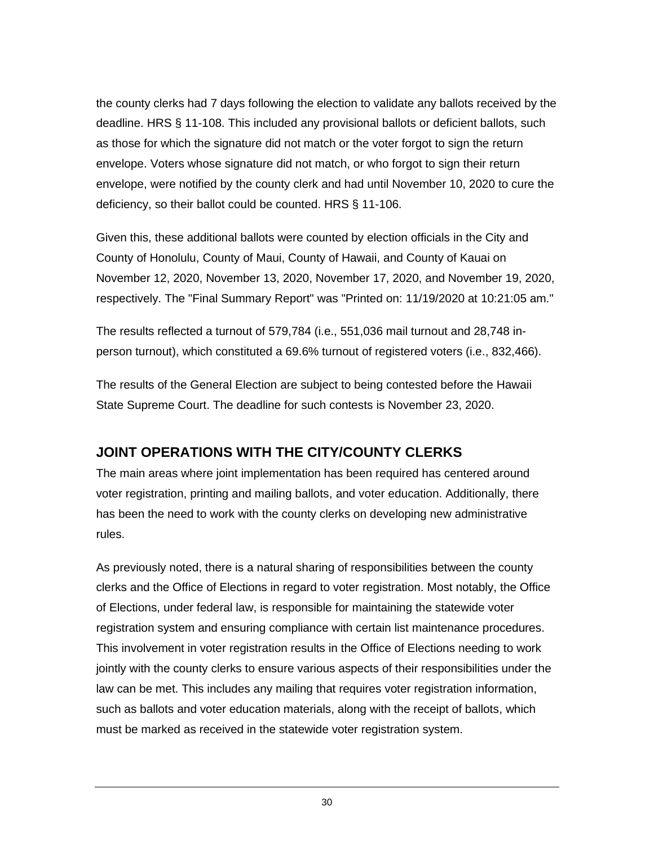the county clerks had 7 days following the election to validate any ballots received by the deadline. HRS § 11-108. This included any provisional ballots or deficient ballots, such as those for which the signature did not match or the voter forgot to sign the return envelope. Voters whose signature did not match, or who forgot to sign their return envelope, were notified by the county clerk and had until November 10, 2020 to cure the deficiency, so their ballot could be counted. HRS § 11-106.

Given this, these additional ballots were counted by election officials in the City and County of Honolulu, County of Maui, County of Hawaii, and County of Kauai on November 12, 2020, November 13, 2020, November 17, 2020, and November 19, 2020, respectively. The "Final Summary Report" was "Printed on: 11/19/2020 at 10:21:05 am."

The results reflected a turnout of 579,784 (i.e., 551,036 mail turnout and 28,748 inperson turnout), which constituted a 69.6% turnout of registered voters (i.e., 832,466).

The results of the General Election are subject to being contested before the Hawaii State Supreme Court. The deadline for such contests is November 23, 2020.

# <span id="page-35-0"></span>**JOINT OPERATIONS WITH THE CITY/COUNTY CLERKS**

The main areas where joint implementation has been required has centered around voter registration, printing and mailing ballots, and voter education. Additionally, there has been the need to work with the county clerks on developing new administrative rules.

As previously noted, there is a natural sharing of responsibilities between the county clerks and the Office of Elections in regard to voter registration. Most notably, the Office of Elections, under federal law, is responsible for maintaining the statewide voter registration system and ensuring compliance with certain list maintenance procedures. This involvement in voter registration results in the Office of Elections needing to work jointly with the county clerks to ensure various aspects of their responsibilities under the law can be met. This includes any mailing that requires voter registration information, such as ballots and voter education materials, along with the receipt of ballots, which must be marked as received in the statewide voter registration system.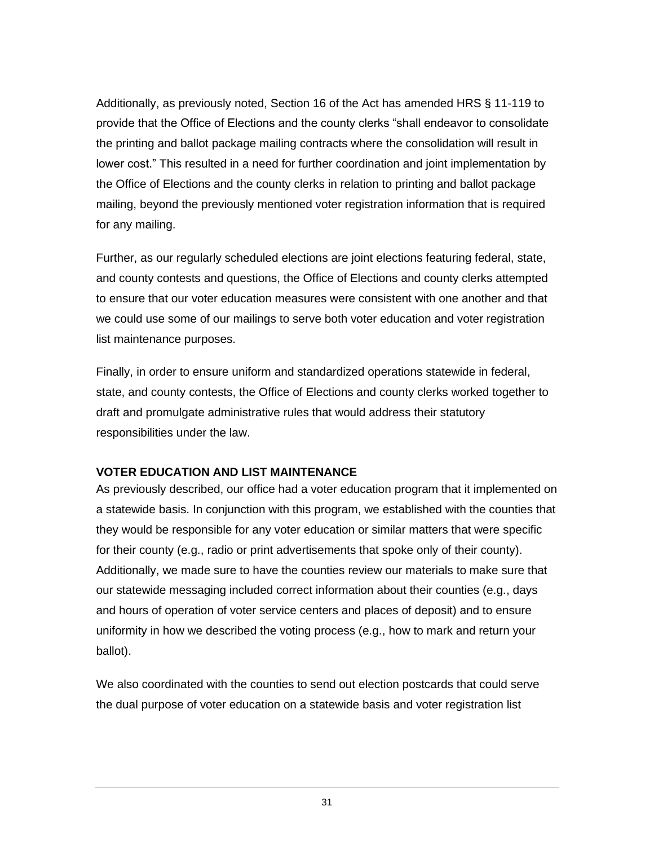Additionally, as previously noted, Section 16 of the Act has amended HRS § 11-119 to provide that the Office of Elections and the county clerks "shall endeavor to consolidate the printing and ballot package mailing contracts where the consolidation will result in lower cost." This resulted in a need for further coordination and joint implementation by the Office of Elections and the county clerks in relation to printing and ballot package mailing, beyond the previously mentioned voter registration information that is required for any mailing.

Further, as our regularly scheduled elections are joint elections featuring federal, state, and county contests and questions, the Office of Elections and county clerks attempted to ensure that our voter education measures were consistent with one another and that we could use some of our mailings to serve both voter education and voter registration list maintenance purposes.

Finally, in order to ensure uniform and standardized operations statewide in federal, state, and county contests, the Office of Elections and county clerks worked together to draft and promulgate administrative rules that would address their statutory responsibilities under the law.

#### <span id="page-36-0"></span>**VOTER EDUCATION AND LIST MAINTENANCE**

As previously described, our office had a voter education program that it implemented on a statewide basis. In conjunction with this program, we established with the counties that they would be responsible for any voter education or similar matters that were specific for their county (e.g., radio or print advertisements that spoke only of their county). Additionally, we made sure to have the counties review our materials to make sure that our statewide messaging included correct information about their counties (e.g., days and hours of operation of voter service centers and places of deposit) and to ensure uniformity in how we described the voting process (e.g., how to mark and return your ballot).

We also coordinated with the counties to send out election postcards that could serve the dual purpose of voter education on a statewide basis and voter registration list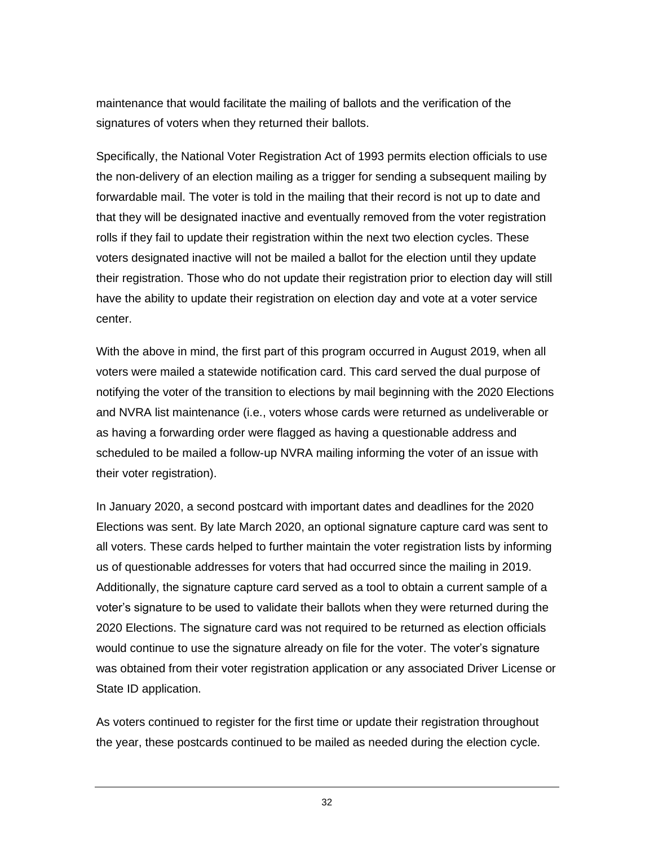maintenance that would facilitate the mailing of ballots and the verification of the signatures of voters when they returned their ballots.

Specifically, the National Voter Registration Act of 1993 permits election officials to use the non-delivery of an election mailing as a trigger for sending a subsequent mailing by forwardable mail. The voter is told in the mailing that their record is not up to date and that they will be designated inactive and eventually removed from the voter registration rolls if they fail to update their registration within the next two election cycles. These voters designated inactive will not be mailed a ballot for the election until they update their registration. Those who do not update their registration prior to election day will still have the ability to update their registration on election day and vote at a voter service center.

With the above in mind, the first part of this program occurred in August 2019, when all voters were mailed a statewide notification card. This card served the dual purpose of notifying the voter of the transition to elections by mail beginning with the 2020 Elections and NVRA list maintenance (i.e., voters whose cards were returned as undeliverable or as having a forwarding order were flagged as having a questionable address and scheduled to be mailed a follow-up NVRA mailing informing the voter of an issue with their voter registration).

In January 2020, a second postcard with important dates and deadlines for the 2020 Elections was sent. By late March 2020, an optional signature capture card was sent to all voters. These cards helped to further maintain the voter registration lists by informing us of questionable addresses for voters that had occurred since the mailing in 2019. Additionally, the signature capture card served as a tool to obtain a current sample of a voter's signature to be used to validate their ballots when they were returned during the 2020 Elections. The signature card was not required to be returned as election officials would continue to use the signature already on file for the voter. The voter's signature was obtained from their voter registration application or any associated Driver License or State ID application.

As voters continued to register for the first time or update their registration throughout the year, these postcards continued to be mailed as needed during the election cycle.

32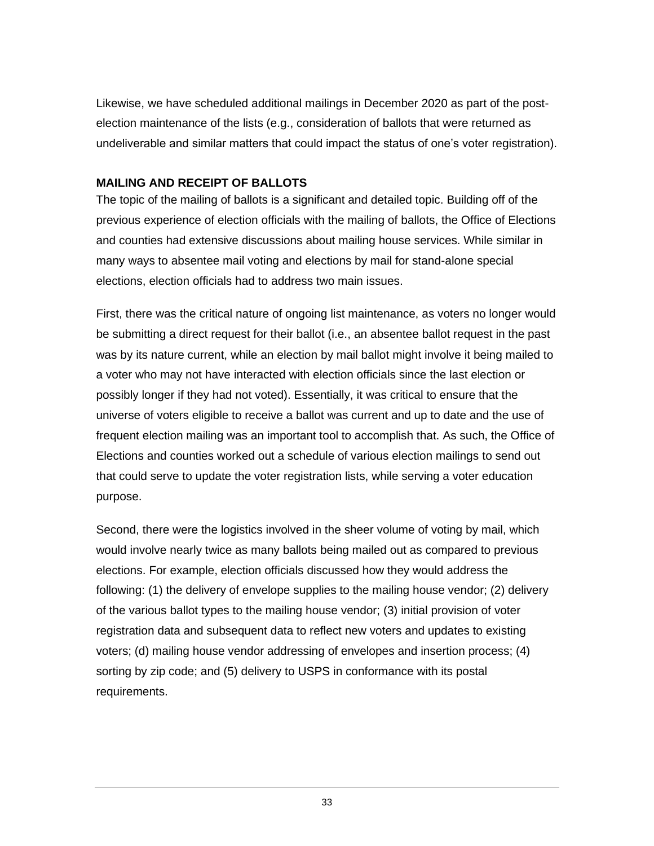Likewise, we have scheduled additional mailings in December 2020 as part of the postelection maintenance of the lists (e.g., consideration of ballots that were returned as undeliverable and similar matters that could impact the status of one's voter registration).

#### <span id="page-38-0"></span>**MAILING AND RECEIPT OF BALLOTS**

The topic of the mailing of ballots is a significant and detailed topic. Building off of the previous experience of election officials with the mailing of ballots, the Office of Elections and counties had extensive discussions about mailing house services. While similar in many ways to absentee mail voting and elections by mail for stand-alone special elections, election officials had to address two main issues.

First, there was the critical nature of ongoing list maintenance, as voters no longer would be submitting a direct request for their ballot (i.e., an absentee ballot request in the past was by its nature current, while an election by mail ballot might involve it being mailed to a voter who may not have interacted with election officials since the last election or possibly longer if they had not voted). Essentially, it was critical to ensure that the universe of voters eligible to receive a ballot was current and up to date and the use of frequent election mailing was an important tool to accomplish that. As such, the Office of Elections and counties worked out a schedule of various election mailings to send out that could serve to update the voter registration lists, while serving a voter education purpose.

Second, there were the logistics involved in the sheer volume of voting by mail, which would involve nearly twice as many ballots being mailed out as compared to previous elections. For example, election officials discussed how they would address the following: (1) the delivery of envelope supplies to the mailing house vendor; (2) delivery of the various ballot types to the mailing house vendor; (3) initial provision of voter registration data and subsequent data to reflect new voters and updates to existing voters; (d) mailing house vendor addressing of envelopes and insertion process; (4) sorting by zip code; and (5) delivery to USPS in conformance with its postal requirements.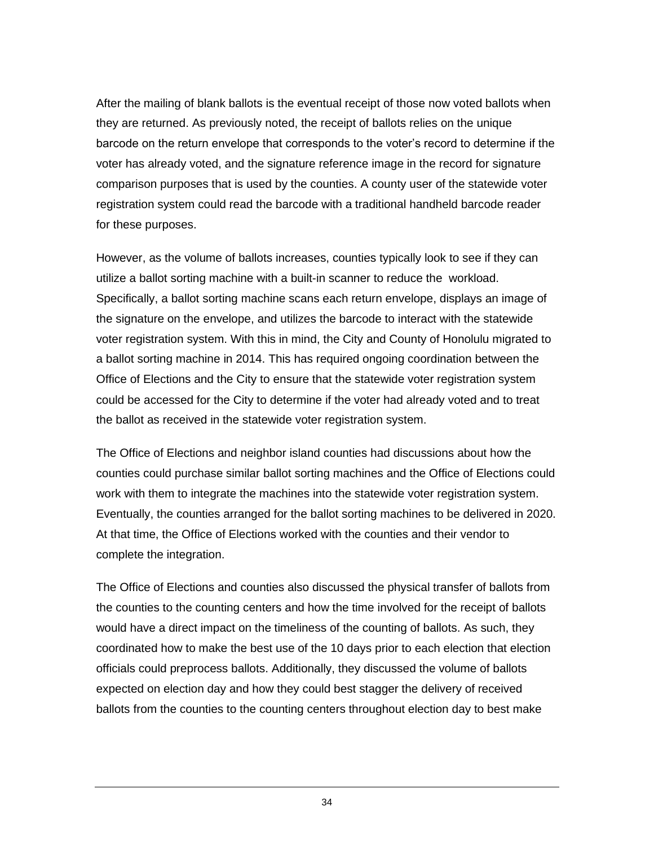After the mailing of blank ballots is the eventual receipt of those now voted ballots when they are returned. As previously noted, the receipt of ballots relies on the unique barcode on the return envelope that corresponds to the voter's record to determine if the voter has already voted, and the signature reference image in the record for signature comparison purposes that is used by the counties. A county user of the statewide voter registration system could read the barcode with a traditional handheld barcode reader for these purposes.

However, as the volume of ballots increases, counties typically look to see if they can utilize a ballot sorting machine with a built-in scanner to reduce the workload. Specifically, a ballot sorting machine scans each return envelope, displays an image of the signature on the envelope, and utilizes the barcode to interact with the statewide voter registration system. With this in mind, the City and County of Honolulu migrated to a ballot sorting machine in 2014. This has required ongoing coordination between the Office of Elections and the City to ensure that the statewide voter registration system could be accessed for the City to determine if the voter had already voted and to treat the ballot as received in the statewide voter registration system.

The Office of Elections and neighbor island counties had discussions about how the counties could purchase similar ballot sorting machines and the Office of Elections could work with them to integrate the machines into the statewide voter registration system. Eventually, the counties arranged for the ballot sorting machines to be delivered in 2020. At that time, the Office of Elections worked with the counties and their vendor to complete the integration.

The Office of Elections and counties also discussed the physical transfer of ballots from the counties to the counting centers and how the time involved for the receipt of ballots would have a direct impact on the timeliness of the counting of ballots. As such, they coordinated how to make the best use of the 10 days prior to each election that election officials could preprocess ballots. Additionally, they discussed the volume of ballots expected on election day and how they could best stagger the delivery of received ballots from the counties to the counting centers throughout election day to best make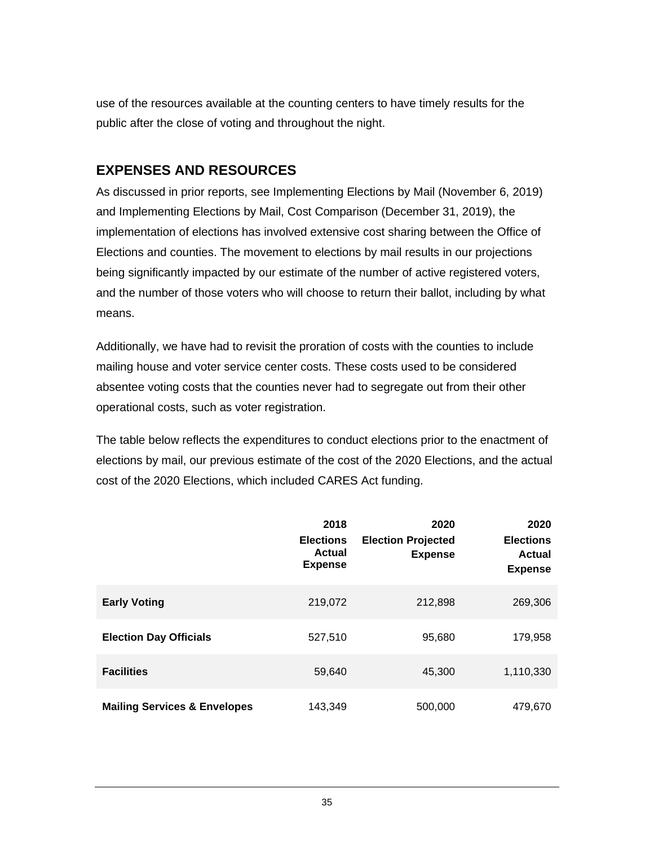use of the resources available at the counting centers to have timely results for the public after the close of voting and throughout the night.

# <span id="page-40-0"></span>**EXPENSES AND RESOURCES**

As discussed in prior reports, see Implementing Elections by Mail (November 6, 2019) and Implementing Elections by Mail, Cost Comparison (December 31, 2019), the implementation of elections has involved extensive cost sharing between the Office of Elections and counties. The movement to elections by mail results in our projections being significantly impacted by our estimate of the number of active registered voters, and the number of those voters who will choose to return their ballot, including by what means.

Additionally, we have had to revisit the proration of costs with the counties to include mailing house and voter service center costs. These costs used to be considered absentee voting costs that the counties never had to segregate out from their other operational costs, such as voter registration.

The table below reflects the expenditures to conduct elections prior to the enactment of elections by mail, our previous estimate of the cost of the 2020 Elections, and the actual cost of the 2020 Elections, which included CARES Act funding.

|                                         | 2018<br><b>Elections</b><br><b>Actual</b><br><b>Expense</b> | 2020<br><b>Election Projected</b><br><b>Expense</b> | 2020<br><b>Elections</b><br>Actual<br><b>Expense</b> |
|-----------------------------------------|-------------------------------------------------------------|-----------------------------------------------------|------------------------------------------------------|
| <b>Early Voting</b>                     | 219,072                                                     | 212,898                                             | 269,306                                              |
| <b>Election Day Officials</b>           | 527,510                                                     | 95,680                                              | 179,958                                              |
| <b>Facilities</b>                       | 59,640                                                      | 45,300                                              | 1,110,330                                            |
| <b>Mailing Services &amp; Envelopes</b> | 143,349                                                     | 500,000                                             | 479,670                                              |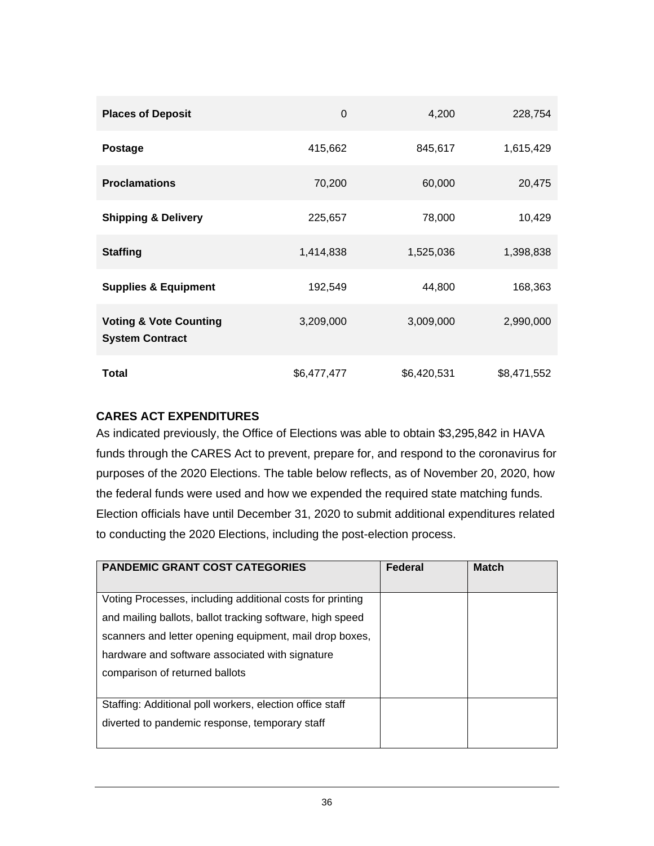| <b>Places of Deposit</b>                                    | 0           | 4,200       | 228,754     |
|-------------------------------------------------------------|-------------|-------------|-------------|
| <b>Postage</b>                                              | 415,662     | 845,617     | 1,615,429   |
| <b>Proclamations</b>                                        | 70,200      | 60,000      | 20,475      |
| <b>Shipping &amp; Delivery</b>                              | 225,657     | 78,000      | 10,429      |
| <b>Staffing</b>                                             | 1,414,838   | 1,525,036   | 1,398,838   |
| <b>Supplies &amp; Equipment</b>                             | 192,549     | 44,800      | 168,363     |
| <b>Voting &amp; Vote Counting</b><br><b>System Contract</b> | 3,209,000   | 3,009,000   | 2,990,000   |
| Total                                                       | \$6,477,477 | \$6,420,531 | \$8,471,552 |

#### <span id="page-41-0"></span>**CARES ACT EXPENDITURES**

As indicated previously, the Office of Elections was able to obtain \$3,295,842 in HAVA funds through the CARES Act to prevent, prepare for, and respond to the coronavirus for purposes of the 2020 Elections. The table below reflects, as of November 20, 2020, how the federal funds were used and how we expended the required state matching funds. Election officials have until December 31, 2020 to submit additional expenditures related to conducting the 2020 Elections, including the post-election process.

| <b>PANDEMIC GRANT COST CATEGORIES</b>                     | Federal | <b>Match</b> |
|-----------------------------------------------------------|---------|--------------|
| Voting Processes, including additional costs for printing |         |              |
| and mailing ballots, ballot tracking software, high speed |         |              |
| scanners and letter opening equipment, mail drop boxes,   |         |              |
| hardware and software associated with signature           |         |              |
| comparison of returned ballots                            |         |              |
|                                                           |         |              |
| Staffing: Additional poll workers, election office staff  |         |              |
| diverted to pandemic response, temporary staff            |         |              |
|                                                           |         |              |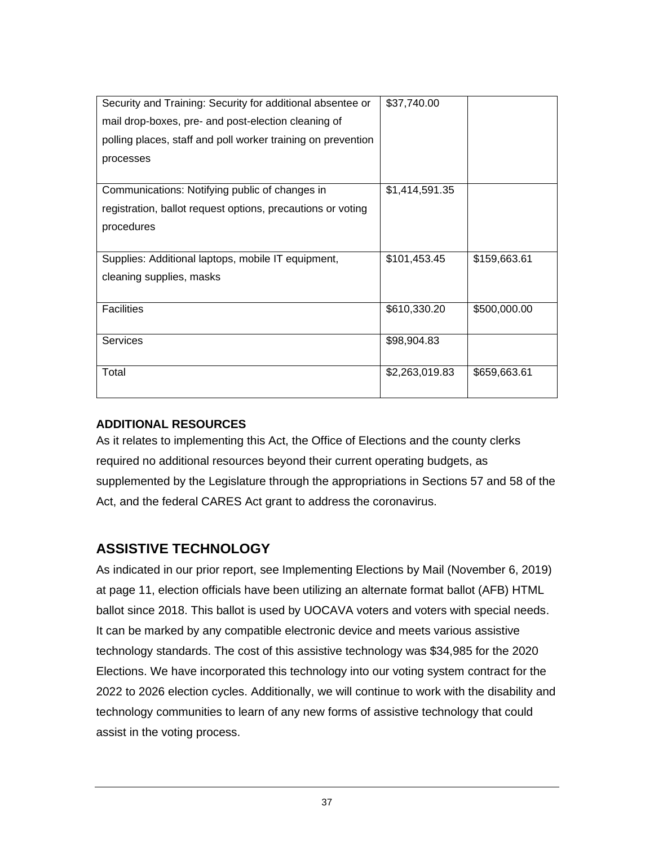| Security and Training: Security for additional absentee or   | \$37,740.00    |              |
|--------------------------------------------------------------|----------------|--------------|
| mail drop-boxes, pre- and post-election cleaning of          |                |              |
| polling places, staff and poll worker training on prevention |                |              |
| processes                                                    |                |              |
|                                                              |                |              |
| Communications: Notifying public of changes in               | \$1,414,591.35 |              |
| registration, ballot request options, precautions or voting  |                |              |
| procedures                                                   |                |              |
|                                                              |                |              |
| Supplies: Additional laptops, mobile IT equipment,           | \$101,453.45   | \$159,663.61 |
| cleaning supplies, masks                                     |                |              |
|                                                              |                |              |
| <b>Facilities</b>                                            | \$610,330.20   | \$500,000.00 |
|                                                              |                |              |
| <b>Services</b>                                              | \$98,904.83    |              |
|                                                              |                |              |
| Total                                                        | \$2,263,019.83 | \$659,663.61 |
|                                                              |                |              |

#### <span id="page-42-0"></span>**ADDITIONAL RESOURCES**

As it relates to implementing this Act, the Office of Elections and the county clerks required no additional resources beyond their current operating budgets, as supplemented by the Legislature through the appropriations in Sections 57 and 58 of the Act, and the federal CARES Act grant to address the coronavirus.

# <span id="page-42-1"></span>**ASSISTIVE TECHNOLOGY**

As indicated in our prior report, see Implementing Elections by Mail (November 6, 2019) at page 11, election officials have been utilizing an alternate format ballot (AFB) HTML ballot since 2018. This ballot is used by UOCAVA voters and voters with special needs. It can be marked by any compatible electronic device and meets various assistive technology standards. The cost of this assistive technology was \$34,985 for the 2020 Elections. We have incorporated this technology into our voting system contract for the 2022 to 2026 election cycles. Additionally, we will continue to work with the disability and technology communities to learn of any new forms of assistive technology that could assist in the voting process.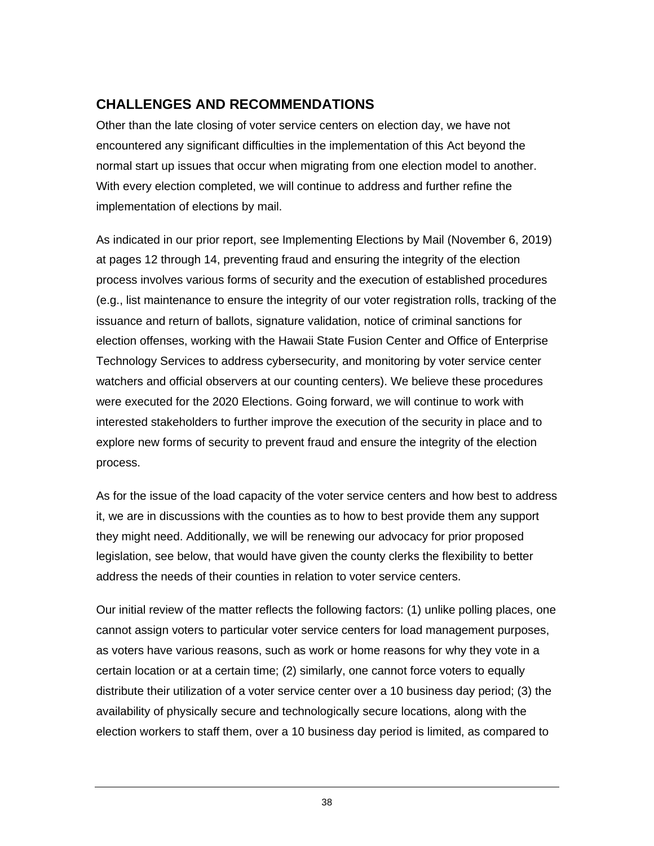# <span id="page-43-0"></span>**CHALLENGES AND RECOMMENDATIONS**

Other than the late closing of voter service centers on election day, we have not encountered any significant difficulties in the implementation of this Act beyond the normal start up issues that occur when migrating from one election model to another. With every election completed, we will continue to address and further refine the implementation of elections by mail.

As indicated in our prior report, see Implementing Elections by Mail (November 6, 2019) at pages 12 through 14, preventing fraud and ensuring the integrity of the election process involves various forms of security and the execution of established procedures (e.g., list maintenance to ensure the integrity of our voter registration rolls, tracking of the issuance and return of ballots, signature validation, notice of criminal sanctions for election offenses, working with the Hawaii State Fusion Center and Office of Enterprise Technology Services to address cybersecurity, and monitoring by voter service center watchers and official observers at our counting centers). We believe these procedures were executed for the 2020 Elections. Going forward, we will continue to work with interested stakeholders to further improve the execution of the security in place and to explore new forms of security to prevent fraud and ensure the integrity of the election process.

As for the issue of the load capacity of the voter service centers and how best to address it, we are in discussions with the counties as to how to best provide them any support they might need. Additionally, we will be renewing our advocacy for prior proposed legislation, see below, that would have given the county clerks the flexibility to better address the needs of their counties in relation to voter service centers.

Our initial review of the matter reflects the following factors: (1) unlike polling places, one cannot assign voters to particular voter service centers for load management purposes, as voters have various reasons, such as work or home reasons for why they vote in a certain location or at a certain time; (2) similarly, one cannot force voters to equally distribute their utilization of a voter service center over a 10 business day period; (3) the availability of physically secure and technologically secure locations, along with the election workers to staff them, over a 10 business day period is limited, as compared to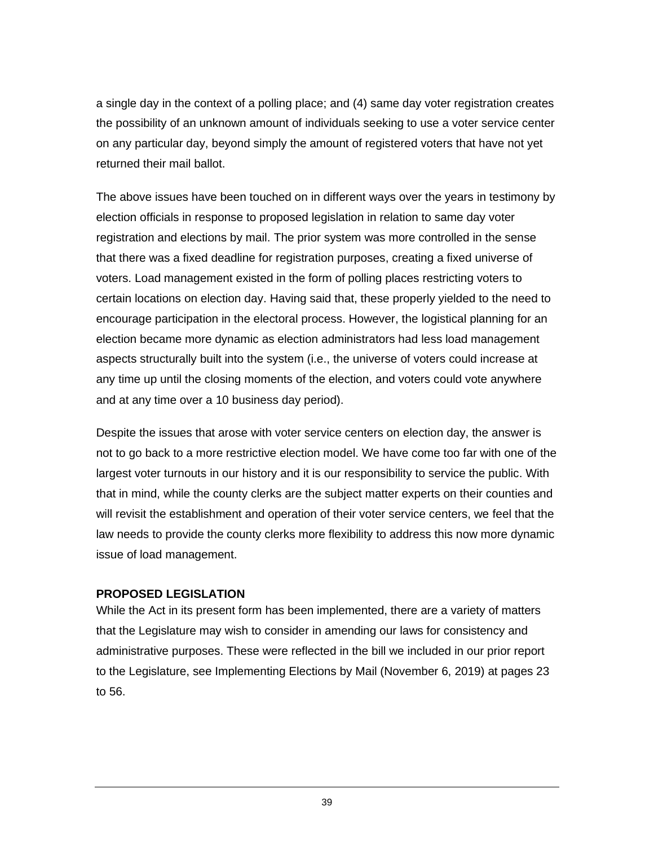a single day in the context of a polling place; and (4) same day voter registration creates the possibility of an unknown amount of individuals seeking to use a voter service center on any particular day, beyond simply the amount of registered voters that have not yet returned their mail ballot.

The above issues have been touched on in different ways over the years in testimony by election officials in response to proposed legislation in relation to same day voter registration and elections by mail. The prior system was more controlled in the sense that there was a fixed deadline for registration purposes, creating a fixed universe of voters. Load management existed in the form of polling places restricting voters to certain locations on election day. Having said that, these properly yielded to the need to encourage participation in the electoral process. However, the logistical planning for an election became more dynamic as election administrators had less load management aspects structurally built into the system (i.e., the universe of voters could increase at any time up until the closing moments of the election, and voters could vote anywhere and at any time over a 10 business day period).

Despite the issues that arose with voter service centers on election day, the answer is not to go back to a more restrictive election model. We have come too far with one of the largest voter turnouts in our history and it is our responsibility to service the public. With that in mind, while the county clerks are the subject matter experts on their counties and will revisit the establishment and operation of their voter service centers, we feel that the law needs to provide the county clerks more flexibility to address this now more dynamic issue of load management.

#### <span id="page-44-0"></span>**PROPOSED LEGISLATION**

While the Act in its present form has been implemented, there are a variety of matters that the Legislature may wish to consider in amending our laws for consistency and administrative purposes. These were reflected in the bill we included in our prior report to the Legislature, see Implementing Elections by Mail (November 6, 2019) at pages 23 to 56.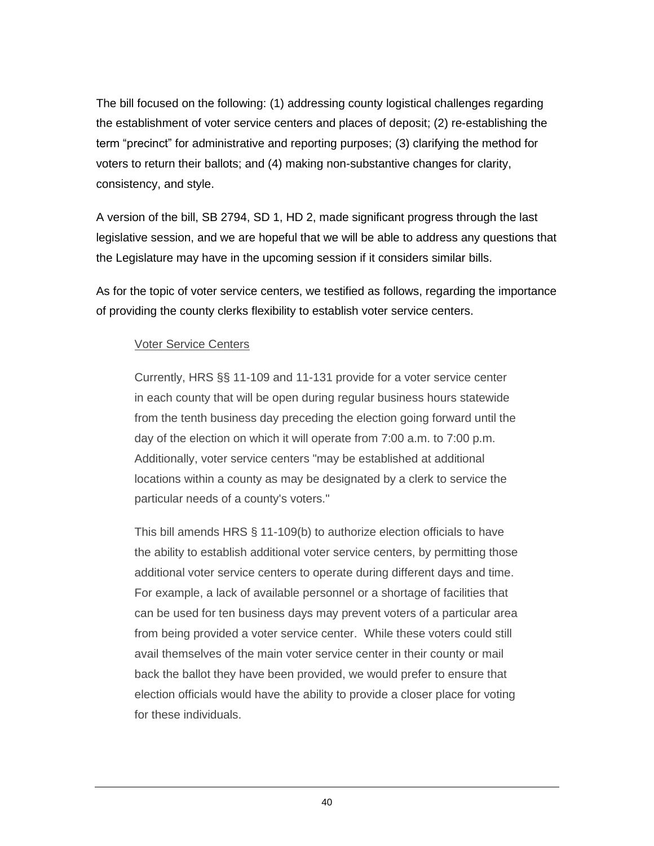The bill focused on the following: (1) addressing county logistical challenges regarding the establishment of voter service centers and places of deposit; (2) re-establishing the term "precinct" for administrative and reporting purposes; (3) clarifying the method for voters to return their ballots; and (4) making non-substantive changes for clarity, consistency, and style.

A version of the bill, SB 2794, SD 1, HD 2, made significant progress through the last legislative session, and we are hopeful that we will be able to address any questions that the Legislature may have in the upcoming session if it considers similar bills.

As for the topic of voter service centers, we testified as follows, regarding the importance of providing the county clerks flexibility to establish voter service centers.

#### Voter Service Centers

Currently, HRS §§ 11-109 and 11-131 provide for a voter service center in each county that will be open during regular business hours statewide from the tenth business day preceding the election going forward until the day of the election on which it will operate from 7:00 a.m. to 7:00 p.m. Additionally, voter service centers "may be established at additional locations within a county as may be designated by a clerk to service the particular needs of a county's voters."

This bill amends HRS § 11-109(b) to authorize election officials to have the ability to establish additional voter service centers, by permitting those additional voter service centers to operate during different days and time. For example, a lack of available personnel or a shortage of facilities that can be used for ten business days may prevent voters of a particular area from being provided a voter service center. While these voters could still avail themselves of the main voter service center in their county or mail back the ballot they have been provided, we would prefer to ensure that election officials would have the ability to provide a closer place for voting for these individuals.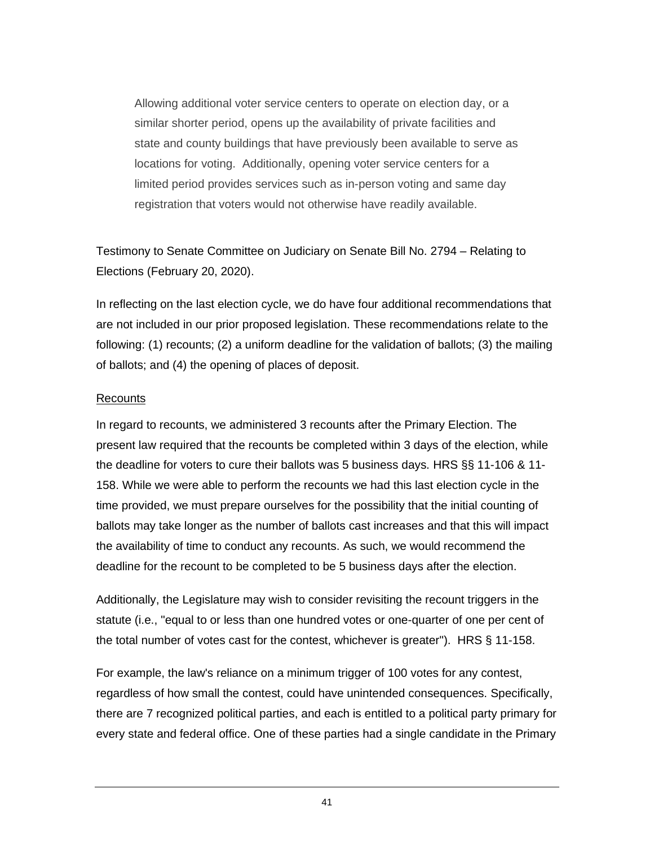Allowing additional voter service centers to operate on election day, or a similar shorter period, opens up the availability of private facilities and state and county buildings that have previously been available to serve as locations for voting. Additionally, opening voter service centers for a limited period provides services such as in-person voting and same day registration that voters would not otherwise have readily available.

Testimony to Senate Committee on Judiciary on Senate Bill No. 2794 – Relating to Elections (February 20, 2020).

In reflecting on the last election cycle, we do have four additional recommendations that are not included in our prior proposed legislation. These recommendations relate to the following: (1) recounts; (2) a uniform deadline for the validation of ballots; (3) the mailing of ballots; and (4) the opening of places of deposit.

#### Recounts

In regard to recounts, we administered 3 recounts after the Primary Election. The present law required that the recounts be completed within 3 days of the election, while the deadline for voters to cure their ballots was 5 business days. HRS §§ 11-106 & 11- 158. While we were able to perform the recounts we had this last election cycle in the time provided, we must prepare ourselves for the possibility that the initial counting of ballots may take longer as the number of ballots cast increases and that this will impact the availability of time to conduct any recounts. As such, we would recommend the deadline for the recount to be completed to be 5 business days after the election.

Additionally, the Legislature may wish to consider revisiting the recount triggers in the statute (i.e., "equal to or less than one hundred votes or one-quarter of one per cent of the total number of votes cast for the contest, whichever is greater"). HRS § 11-158.

For example, the law's reliance on a minimum trigger of 100 votes for any contest, regardless of how small the contest, could have unintended consequences. Specifically, there are 7 recognized political parties, and each is entitled to a political party primary for every state and federal office. One of these parties had a single candidate in the Primary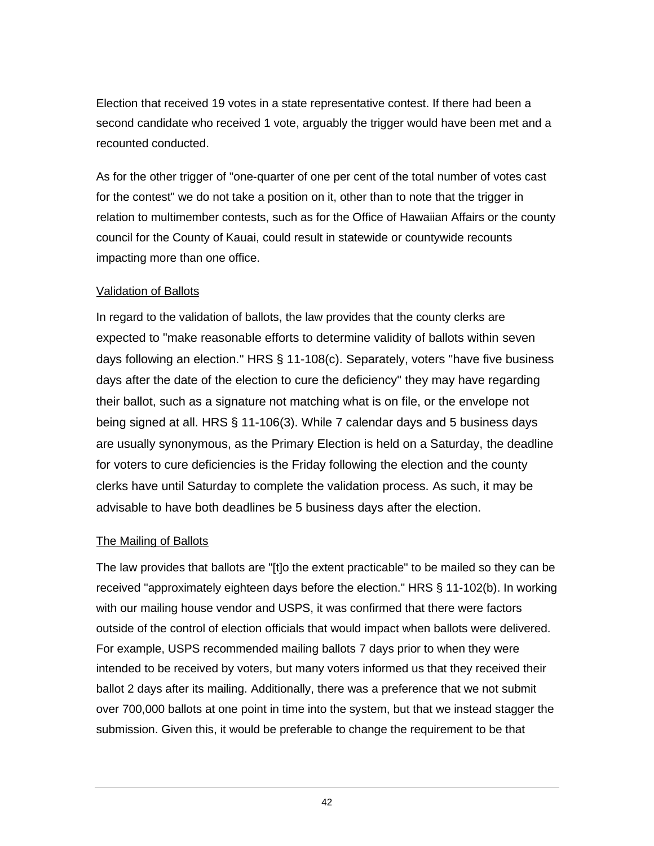Election that received 19 votes in a state representative contest. If there had been a second candidate who received 1 vote, arguably the trigger would have been met and a recounted conducted.

As for the other trigger of "one-quarter of one per cent of the total number of votes cast for the contest" we do not take a position on it, other than to note that the trigger in relation to multimember contests, such as for the Office of Hawaiian Affairs or the county council for the County of Kauai, could result in statewide or countywide recounts impacting more than one office.

#### Validation of Ballots

In regard to the validation of ballots, the law provides that the county clerks are expected to "make reasonable efforts to determine validity of ballots within seven days following an election." HRS § 11-108(c). Separately, voters "have five business days after the date of the election to cure the deficiency" they may have regarding their ballot, such as a signature not matching what is on file, or the envelope not being signed at all. HRS § 11-106(3). While 7 calendar days and 5 business days are usually synonymous, as the Primary Election is held on a Saturday, the deadline for voters to cure deficiencies is the Friday following the election and the county clerks have until Saturday to complete the validation process. As such, it may be advisable to have both deadlines be 5 business days after the election.

#### The Mailing of Ballots

The law provides that ballots are "[t]o the extent practicable" to be mailed so they can be received "approximately eighteen days before the election." HRS § 11-102(b). In working with our mailing house vendor and USPS, it was confirmed that there were factors outside of the control of election officials that would impact when ballots were delivered. For example, USPS recommended mailing ballots 7 days prior to when they were intended to be received by voters, but many voters informed us that they received their ballot 2 days after its mailing. Additionally, there was a preference that we not submit over 700,000 ballots at one point in time into the system, but that we instead stagger the submission. Given this, it would be preferable to change the requirement to be that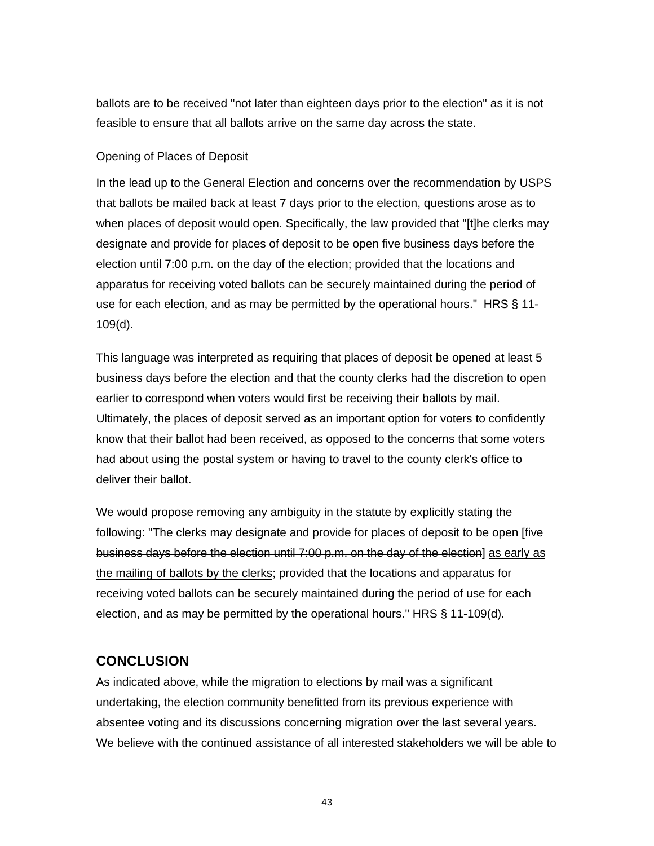ballots are to be received "not later than eighteen days prior to the election" as it is not feasible to ensure that all ballots arrive on the same day across the state.

#### Opening of Places of Deposit

In the lead up to the General Election and concerns over the recommendation by USPS that ballots be mailed back at least 7 days prior to the election, questions arose as to when places of deposit would open. Specifically, the law provided that "[t]he clerks may designate and provide for places of deposit to be open five business days before the election until 7:00 p.m. on the day of the election; provided that the locations and apparatus for receiving voted ballots can be securely maintained during the period of use for each election, and as may be permitted by the operational hours." HRS § 11- 109(d).

This language was interpreted as requiring that places of deposit be opened at least 5 business days before the election and that the county clerks had the discretion to open earlier to correspond when voters would first be receiving their ballots by mail. Ultimately, the places of deposit served as an important option for voters to confidently know that their ballot had been received, as opposed to the concerns that some voters had about using the postal system or having to travel to the county clerk's office to deliver their ballot.

We would propose removing any ambiguity in the statute by explicitly stating the following: "The clerks may designate and provide for places of deposit to be open frive business days before the election until 7:00 p.m. on the day of the election] as early as the mailing of ballots by the clerks; provided that the locations and apparatus for receiving voted ballots can be securely maintained during the period of use for each election, and as may be permitted by the operational hours." HRS § 11-109(d).

# <span id="page-48-0"></span>**CONCLUSION**

As indicated above, while the migration to elections by mail was a significant undertaking, the election community benefitted from its previous experience with absentee voting and its discussions concerning migration over the last several years. We believe with the continued assistance of all interested stakeholders we will be able to